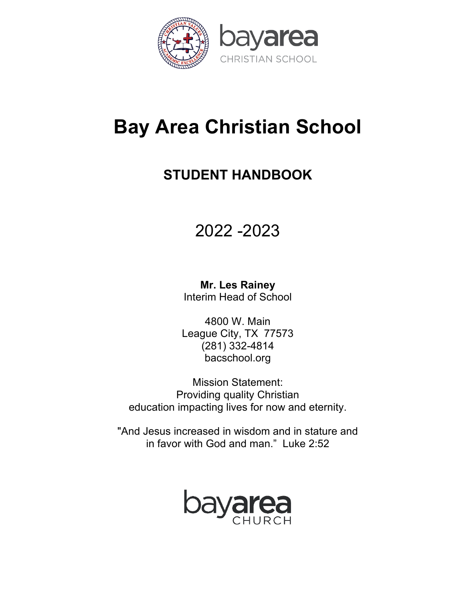

# **Bay Area Christian School**

## **STUDENT HANDBOOK**

# 2022 -2023

**Mr. Les Rainey** Interim Head of School

4800 W. Main League City, TX 77573 (281) 332-4814 bacschool.org

Mission Statement: Providing quality Christian education impacting lives for now and eternity.

"And Jesus increased in wisdom and in stature and in favor with God and man." Luke 2:52

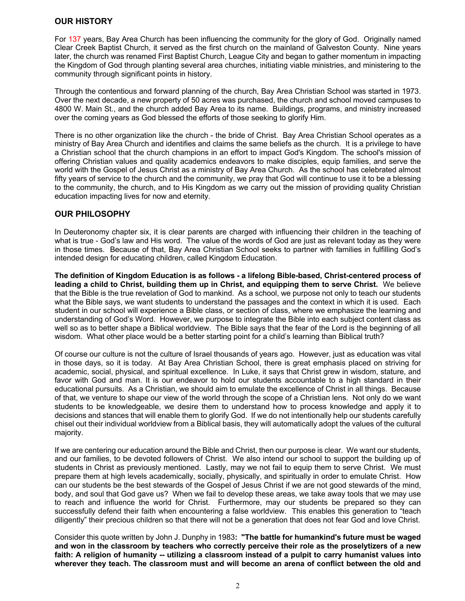## **OUR HISTORY**

For 137 years, Bay Area Church has been influencing the community for the glory of God. Originally named Clear Creek Baptist Church, it served as the first church on the mainland of Galveston County. Nine years later, the church was renamed First Baptist Church, League City and began to gather momentum in impacting the Kingdom of God through planting several area churches, initiating viable ministries, and ministering to the community through significant points in history.

Through the contentious and forward planning of the church, Bay Area Christian School was started in 1973. Over the next decade, a new property of 50 acres was purchased, the church and school moved campuses to 4800 W. Main St., and the church added Bay Area to its name. Buildings, programs, and ministry increased over the coming years as God blessed the efforts of those seeking to glorify Him.

There is no other organization like the church - the bride of Christ. Bay Area Christian School operates as a ministry of Bay Area Church and identifies and claims the same beliefs as the church. It is a privilege to have a Christian school that the church champions in an effort to impact God's Kingdom. The school's mission of offering Christian values and quality academics endeavors to make disciples, equip families, and serve the world with the Gospel of Jesus Christ as a ministry of Bay Area Church. As the school has celebrated almost fifty years of service to the church and the community, we pray that God will continue to use it to be a blessing to the community, the church, and to His Kingdom as we carry out the mission of providing quality Christian education impacting lives for now and eternity.

## **OUR PHILOSOPHY**

In Deuteronomy chapter six, it is clear parents are charged with influencing their children in the teaching of what is true - God's law and His word. The value of the words of God are just as relevant today as they were in those times. Because of that, Bay Area Christian School seeks to partner with families in fulfilling God's intended design for educating children, called Kingdom Education.

**The definition of Kingdom Education is as follows - a lifelong Bible-based, Christ-centered process of leading a child to Christ, building them up in Christ, and equipping them to serve Christ.** We believe that the Bible is the true revelation of God to mankind. As a school, we purpose not only to teach our students what the Bible says, we want students to understand the passages and the context in which it is used. Each student in our school will experience a Bible class, or section of class, where we emphasize the learning and understanding of God's Word. However, we purpose to integrate the Bible into each subject content class as well so as to better shape a Biblical worldview. The Bible says that the fear of the Lord is the beginning of all wisdom. What other place would be a better starting point for a child's learning than Biblical truth?

Of course our culture is not the culture of Israel thousands of years ago. However, just as education was vital in those days, so it is today. At Bay Area Christian School, there is great emphasis placed on striving for academic, social, physical, and spiritual excellence. In Luke, it says that Christ grew in wisdom, stature, and favor with God and man. It is our endeavor to hold our students accountable to a high standard in their educational pursuits. As a Christian, we should aim to emulate the excellence of Christ in all things. Because of that, we venture to shape our view of the world through the scope of a Christian lens. Not only do we want students to be knowledgeable, we desire them to understand how to process knowledge and apply it to decisions and stances that will enable them to glorify God. If we do not intentionally help our students carefully chisel out their individual worldview from a Biblical basis, they will automatically adopt the values of the cultural majority.

If we are centering our education around the Bible and Christ, then our purpose is clear. We want our students, and our families, to be devoted followers of Christ. We also intend our school to support the building up of students in Christ as previously mentioned. Lastly, may we not fail to equip them to serve Christ. We must prepare them at high levels academically, socially, physically, and spiritually in order to emulate Christ. How can our students be the best stewards of the Gospel of Jesus Christ if we are not good stewards of the mind, body, and soul that God gave us? When we fail to develop these areas, we take away tools that we may use to reach and influence the world for Christ. Furthermore, may our students be prepared so they can successfully defend their faith when encountering a false worldview. This enables this generation to "teach diligently" their precious children so that there will not be a generation that does not fear God and love Christ.

Consider this quote written by John J. Dunphy in 1983**: "The battle for humankind's future must be waged and won in the classroom by teachers who correctly perceive their role as the proselytizers of a new faith: A religion of humanity -- utilizing a classroom instead of a pulpit to carry humanist values into wherever they teach. The classroom must and will become an arena of conflict between the old and**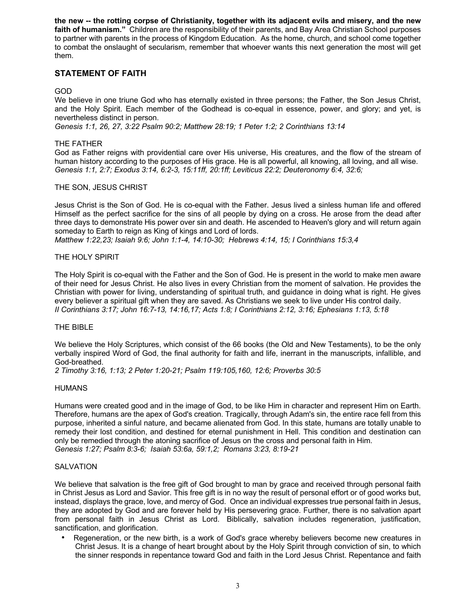**the new -- the rotting corpse of Christianity, together with its adjacent evils and misery, and the new faith of humanism."** Children are the responsibility of their parents, and Bay Area Christian School purposes to partner with parents in the process of Kingdom Education. As the home, church, and school come together to combat the onslaught of secularism, remember that whoever wants this next generation the most will get them.

## **STATEMENT OF FAITH**

#### GOD

We believe in one triune God who has eternally existed in three persons; the Father, the Son Jesus Christ, and the Holy Spirit. Each member of the Godhead is co-equal in essence, power, and glory; and yet, is nevertheless distinct in person.

*Genesis 1:1, 26, 27, 3:22 Psalm 90:2; Matthew 28:19; 1 Peter 1:2; 2 Corinthians 13:14*

#### THE FATHER

God as Father reigns with providential care over His universe, His creatures, and the flow of the stream of human history according to the purposes of His grace. He is all powerful, all knowing, all loving, and all wise. *Genesis 1:1, 2:7; Exodus 3:14, 6:2-3, 15:11ff, 20:1ff; Leviticus 22:2; Deuteronomy 6:4, 32:6;*

#### THE SON, JESUS CHRIST

Jesus Christ is the Son of God. He is co-equal with the Father. Jesus lived a sinless human life and offered Himself as the perfect sacrifice for the sins of all people by dying on a cross. He arose from the dead after three days to demonstrate His power over sin and death. He ascended to Heaven's glory and will return again someday to Earth to reign as King of kings and Lord of lords.

*Matthew 1:22,23; Isaiah 9:6; John 1:1-4, 14:10-30; Hebrews 4:14, 15; I Corinthians 15:3,4*

#### THE HOLY SPIRIT

The Holy Spirit is co-equal with the Father and the Son of God. He is present in the world to make men aware of their need for Jesus Christ. He also lives in every Christian from the moment of salvation. He provides the Christian with power for living, understanding of spiritual truth, and guidance in doing what is right. He gives every believer a spiritual gift when they are saved. As Christians we seek to live under His control daily. *II Corinthians 3:17; John 16:7-13, 14:16,17; Acts 1:8; I Corinthians 2:12, 3:16; Ephesians 1:13, 5:18*

#### THE BIBLE

We believe the Holy Scriptures, which consist of the 66 books (the Old and New Testaments), to be the only verbally inspired Word of God, the final authority for faith and life, inerrant in the manuscripts, infallible, and God-breathed.

*2 Timothy 3:16, 1:13; 2 Peter 1:20-21; Psalm 119:105,160, 12:6; Proverbs 30:5*

#### HUMANS

Humans were created good and in the image of God, to be like Him in character and represent Him on Earth. Therefore, humans are the apex of God's creation. Tragically, through Adam's sin, the entire race fell from this purpose, inherited a sinful nature, and became alienated from God. In this state, humans are totally unable to remedy their lost condition, and destined for eternal punishment in Hell. This condition and destination can only be remedied through the atoning sacrifice of Jesus on the cross and personal faith in Him. *Genesis 1:27; Psalm 8:3-6; Isaiah 53:6a, 59:1,2; Romans 3:23, 8:19-21*

#### **SALVATION**

We believe that salvation is the free gift of God brought to man by grace and received through personal faith in Christ Jesus as Lord and Savior. This free gift is in no way the result of personal effort or of good works but, instead, displays the grace, love, and mercy of God. Once an individual expresses true personal faith in Jesus, they are adopted by God and are forever held by His persevering grace. Further, there is no salvation apart from personal faith in Jesus Christ as Lord. Biblically, salvation includes regeneration, justification, sanctification, and glorification.

• Regeneration, or the new birth, is a work of God's grace whereby believers become new creatures in Christ Jesus. It is a change of heart brought about by the Holy Spirit through conviction of sin, to which the sinner responds in repentance toward God and faith in the Lord Jesus Christ. Repentance and faith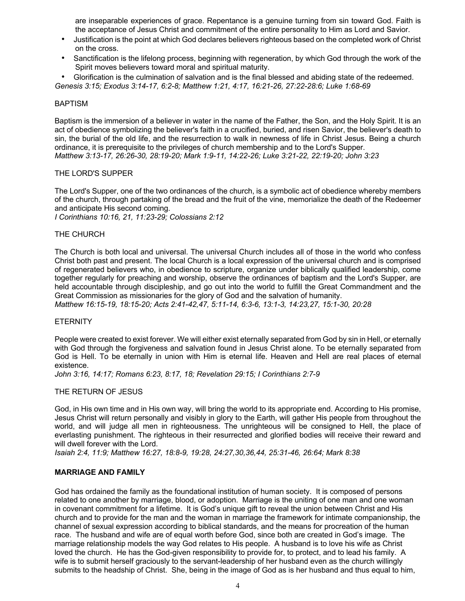are inseparable experiences of grace. Repentance is a genuine turning from sin toward God. Faith is the acceptance of Jesus Christ and commitment of the entire personality to Him as Lord and Savior.

- Justification is the point at which God declares believers righteous based on the completed work of Christ on the cross.
- Sanctification is the lifelong process, beginning with regeneration, by which God through the work of the Spirit moves believers toward moral and spiritual maturity.

• Glorification is the culmination of salvation and is the final blessed and abiding state of the redeemed. *Genesis 3:15; Exodus 3:14-17, 6:2-8; Matthew 1:21, 4:17, 16:21-26, 27:22-28:6; Luke 1:68-69*

#### BAPTISM

Baptism is the immersion of a believer in water in the name of the Father, the Son, and the Holy Spirit. It is an act of obedience symbolizing the believer's faith in a crucified, buried, and risen Savior, the believer's death to sin, the burial of the old life, and the resurrection to walk in newness of life in Christ Jesus. Being a church ordinance, it is prerequisite to the privileges of church membership and to the Lord's Supper. *Matthew 3:13-17, 26:26-30, 28:19-20; Mark 1:9-11, 14:22-26; Luke 3:21-22, 22:19-20; John 3:23*

#### THE LORD'S SUPPER

The Lord's Supper, one of the two ordinances of the church, is a symbolic act of obedience whereby members of the church, through partaking of the bread and the fruit of the vine, memorialize the death of the Redeemer and anticipate His second coming.

*I Corinthians 10:16, 21, 11:23-29; Colossians 2:12*

#### THE CHURCH

The Church is both local and universal. The universal Church includes all of those in the world who confess Christ both past and present. The local Church is a local expression of the universal church and is comprised of regenerated believers who, in obedience to scripture, organize under biblically qualified leadership, come together regularly for preaching and worship, observe the ordinances of baptism and the Lord's Supper, are held accountable through discipleship, and go out into the world to fulfill the Great Commandment and the Great Commission as missionaries for the glory of God and the salvation of humanity.

*Matthew 16:15-19, 18:15-20; Acts 2:41-42,47, 5:11-14, 6:3-6, 13:1-3, 14:23,27, 15:1-30, 20:28*

#### **ETERNITY**

People were created to exist forever. We will either exist eternally separated from God by sin in Hell, or eternally with God through the forgiveness and salvation found in Jesus Christ alone. To be eternally separated from God is Hell. To be eternally in union with Him is eternal life. Heaven and Hell are real places of eternal existence.

*John 3:16, 14:17; Romans 6:23, 8:17, 18; Revelation 29:15; I Corinthians 2:7-9*

#### THE RETURN OF JESUS

God, in His own time and in His own way, will bring the world to its appropriate end. According to His promise, Jesus Christ will return personally and visibly in glory to the Earth, will gather His people from throughout the world, and will judge all men in righteousness. The unrighteous will be consigned to Hell, the place of everlasting punishment. The righteous in their resurrected and glorified bodies will receive their reward and will dwell forever with the Lord.

*Isaiah 2:4, 11:9; Matthew 16:27, 18:8-9, 19:28, 24:27,30,36,44, 25:31-46, 26:64; Mark 8:38*

## **MARRIAGE AND FAMILY**

God has ordained the family as the foundational institution of human society. It is composed of persons related to one another by marriage, blood, or adoption. Marriage is the uniting of one man and one woman in covenant commitment for a lifetime. It is God's unique gift to reveal the union between Christ and His church and to provide for the man and the woman in marriage the framework for intimate companionship, the channel of sexual expression according to biblical standards, and the means for procreation of the human race. The husband and wife are of equal worth before God, since both are created in God's image. The marriage relationship models the way God relates to His people. A husband is to love his wife as Christ loved the church. He has the God-given responsibility to provide for, to protect, and to lead his family. A wife is to submit herself graciously to the servant-leadership of her husband even as the church willingly submits to the headship of Christ. She, being in the image of God as is her husband and thus equal to him,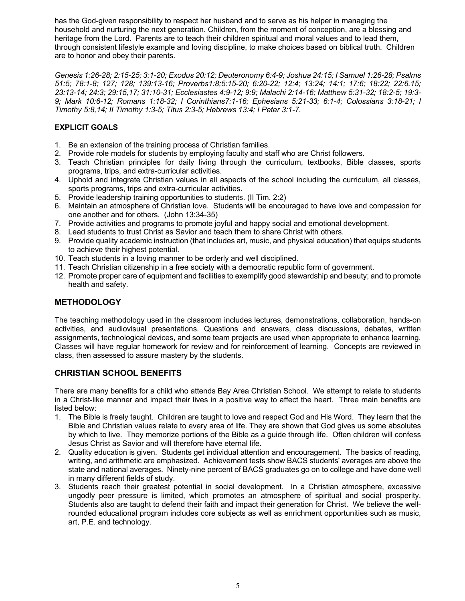has the God-given responsibility to respect her husband and to serve as his helper in managing the household and nurturing the next generation. Children, from the moment of conception, are a blessing and heritage from the Lord. Parents are to teach their children spiritual and moral values and to lead them, through consistent lifestyle example and loving discipline, to make choices based on biblical truth. Children are to honor and obey their parents.

*Genesis 1:26-28; 2:15-25; 3:1-20; Exodus 20:12; Deuteronomy 6:4-9; Joshua 24:15; I Samuel 1:26-28; Psalms 51:5; 78:1-8; 127; 128; 139:13-16; Proverbs1:8;5:15-20; 6:20-22; 12:4; 13:24; 14:1; 17:6; 18:22; 22:6,15; 23:13-14; 24:3; 29:15,17; 31:10-31; Ecclesiastes 4:9-12; 9:9; Malachi 2:14-16; Matthew 5:31-32; 18:2-5; 19:3- 9; Mark 10:6-12; Romans 1:18-32; I Corinthians7:1-16; Ephesians 5:21-33; 6:1-4; Colossians 3:18-21; I Timothy 5:8,14; II Timothy 1:3-5; Titus 2:3-5; Hebrews 13:4; I Peter 3:1-7.*

## **EXPLICIT GOALS**

- 1. Be an extension of the training process of Christian families.
- 2. Provide role models for students by employing faculty and staff who are Christ followers.
- 3. Teach Christian principles for daily living through the curriculum, textbooks, Bible classes, sports programs, trips, and extra-curricular activities.
- 4. Uphold and integrate Christian values in all aspects of the school including the curriculum, all classes, sports programs, trips and extra-curricular activities.
- 5. Provide leadership training opportunities to students. (II Tim. 2:2)
- 6. Maintain an atmosphere of Christian love. Students will be encouraged to have love and compassion for one another and for others. (John 13:34-35)
- 7. Provide activities and programs to promote joyful and happy social and emotional development.
- 8. Lead students to trust Christ as Savior and teach them to share Christ with others.
- 9. Provide quality academic instruction (that includes art, music, and physical education) that equips students to achieve their highest potential.
- 10. Teach students in a loving manner to be orderly and well disciplined.
- 11. Teach Christian citizenship in a free society with a democratic republic form of government.
- 12. Promote proper care of equipment and facilities to exemplify good stewardship and beauty; and to promote health and safety.

## **METHODOLOGY**

The teaching methodology used in the classroom includes lectures, demonstrations, collaboration, hands-on activities, and audiovisual presentations. Questions and answers, class discussions, debates, written assignments, technological devices, and some team projects are used when appropriate to enhance learning. Classes will have regular homework for review and for reinforcement of learning. Concepts are reviewed in class, then assessed to assure mastery by the students.

## **CHRISTIAN SCHOOL BENEFITS**

There are many benefits for a child who attends Bay Area Christian School. We attempt to relate to students in a Christ-like manner and impact their lives in a positive way to affect the heart. Three main benefits are listed below:

- 1. The Bible is freely taught. Children are taught to love and respect God and His Word. They learn that the Bible and Christian values relate to every area of life. They are shown that God gives us some absolutes by which to live. They memorize portions of the Bible as a guide through life. Often children will confess Jesus Christ as Savior and will therefore have eternal life.
- 2. Quality education is given. Students get individual attention and encouragement. The basics of reading, writing, and arithmetic are emphasized. Achievement tests show BACS students' averages are above the state and national averages. Ninety-nine percent of BACS graduates go on to college and have done well in many different fields of study.
- 3. Students reach their greatest potential in social development. In a Christian atmosphere, excessive ungodly peer pressure is limited, which promotes an atmosphere of spiritual and social prosperity. Students also are taught to defend their faith and impact their generation for Christ. We believe the wellrounded educational program includes core subjects as well as enrichment opportunities such as music, art, P.E. and technology.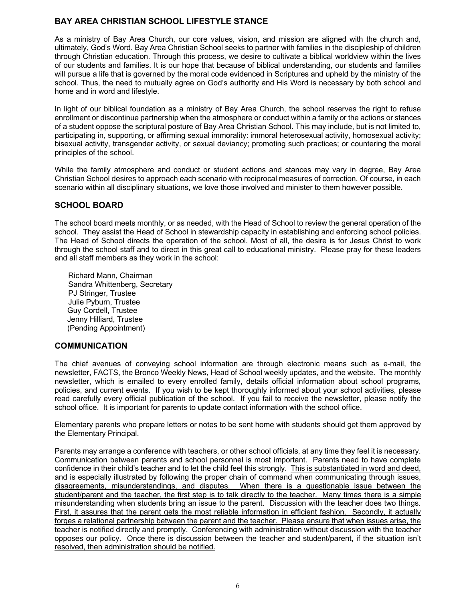## **BAY AREA CHRISTIAN SCHOOL LIFESTYLE STANCE**

As a ministry of Bay Area Church, our core values, vision, and mission are aligned with the church and, ultimately, God's Word. Bay Area Christian School seeks to partner with families in the discipleship of children through Christian education. Through this process, we desire to cultivate a biblical worldview within the lives of our students and families. It is our hope that because of biblical understanding, our students and families will pursue a life that is governed by the moral code evidenced in Scriptures and upheld by the ministry of the school. Thus, the need to mutually agree on God's authority and His Word is necessary by both school and home and in word and lifestyle.

In light of our biblical foundation as a ministry of Bay Area Church, the school reserves the right to refuse enrollment or discontinue partnership when the atmosphere or conduct within a family or the actions or stances of a student oppose the scriptural posture of Bay Area Christian School. This may include, but is not limited to, participating in, supporting, or affirming sexual immorality: immoral heterosexual activity, homosexual activity; bisexual activity, transgender activity, or sexual deviancy; promoting such practices; or countering the moral principles of the school.

While the family atmosphere and conduct or student actions and stances may vary in degree, Bay Area Christian School desires to approach each scenario with reciprocal measures of correction. Of course, in each scenario within all disciplinary situations, we love those involved and minister to them however possible.

## **SCHOOL BOARD**

The school board meets monthly, or as needed, with the Head of School to review the general operation of the school. They assist the Head of School in stewardship capacity in establishing and enforcing school policies. The Head of School directs the operation of the school. Most of all, the desire is for Jesus Christ to work through the school staff and to direct in this great call to educational ministry. Please pray for these leaders and all staff members as they work in the school:

Richard Mann, Chairman Sandra Whittenberg, Secretary PJ Stringer, Trustee Julie Pyburn, Trustee Guy Cordell, Trustee Jenny Hilliard, Trustee (Pending Appointment)

## **COMMUNICATION**

The chief avenues of conveying school information are through electronic means such as e-mail, the newsletter, FACTS, the Bronco Weekly News, Head of School weekly updates, and the website. The monthly newsletter, which is emailed to every enrolled family, details official information about school programs, policies, and current events. If you wish to be kept thoroughly informed about your school activities, please read carefully every official publication of the school. If you fail to receive the newsletter, please notify the school office. It is important for parents to update contact information with the school office.

Elementary parents who prepare letters or notes to be sent home with students should get them approved by the Elementary Principal.

Parents may arrange a conference with teachers, or other school officials, at any time they feel it is necessary. Communication between parents and school personnel is most important. Parents need to have complete confidence in their child's teacher and to let the child feel this strongly. This is substantiated in word and deed, and is especially illustrated by following the proper chain of command when communicating through issues, disagreements, misunderstandings, and disputes. When there is a questionable issue between the student/parent and the teacher, the first step is to talk directly to the teacher. Many times there is a simple misunderstanding when students bring an issue to the parent. Discussion with the teacher does two things. First, it assures that the parent gets the most reliable information in efficient fashion. Secondly, it actually forges a relational partnership between the parent and the teacher. Please ensure that when issues arise, the teacher is notified directly and promptly. Conferencing with administration without discussion with the teacher opposes our policy. Once there is discussion between the teacher and student/parent, if the situation isn't resolved, then administration should be notified.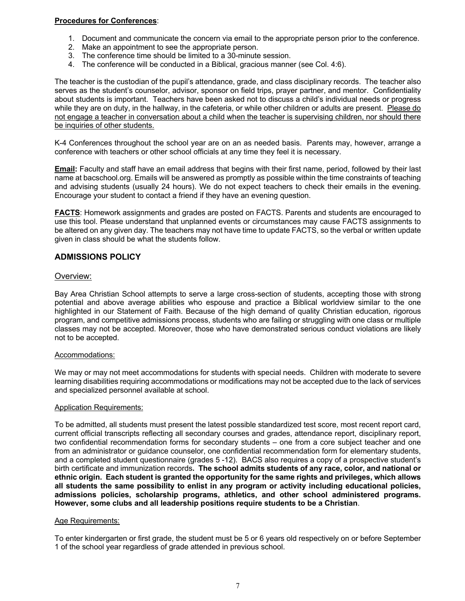## **Procedures for Conferences**:

- 1. Document and communicate the concern via email to the appropriate person prior to the conference.
- 2. Make an appointment to see the appropriate person.
- 3. The conference time should be limited to a 30-minute session.
- 4. The conference will be conducted in a Biblical, gracious manner (see Col. 4:6).

The teacher is the custodian of the pupil's attendance, grade, and class disciplinary records. The teacher also serves as the student's counselor, advisor, sponsor on field trips, prayer partner, and mentor. Confidentiality about students is important. Teachers have been asked not to discuss a child's individual needs or progress while they are on duty, in the hallway, in the cafeteria, or while other children or adults are present. Please do not engage a teacher in conversation about a child when the teacher is supervising children, nor should there be inquiries of other students.

K-4 Conferences throughout the school year are on an as needed basis. Parents may, however, arrange a conference with teachers or other school officials at any time they feel it is necessary.

**Email:** Faculty and staff have an email address that begins with their first name, period, followed by their last name at bacschool.org. Emails will be answered as promptly as possible within the time constraints of teaching and advising students (usually 24 hours). We do not expect teachers to check their emails in the evening. Encourage your student to contact a friend if they have an evening question.

**FACTS**: Homework assignments and grades are posted on FACTS. Parents and students are encouraged to use this tool. Please understand that unplanned events or circumstances may cause FACTS assignments to be altered on any given day. The teachers may not have time to update FACTS, so the verbal or written update given in class should be what the students follow.

## **ADMISSIONS POLICY**

#### Overview:

Bay Area Christian School attempts to serve a large cross-section of students, accepting those with strong potential and above average abilities who espouse and practice a Biblical worldview similar to the one highlighted in our Statement of Faith. Because of the high demand of quality Christian education, rigorous program, and competitive admissions process, students who are failing or struggling with one class or multiple classes may not be accepted. Moreover, those who have demonstrated serious conduct violations are likely not to be accepted.

#### Accommodations:

We may or may not meet accommodations for students with special needs. Children with moderate to severe learning disabilities requiring accommodations or modifications may not be accepted due to the lack of services and specialized personnel available at school.

#### Application Requirements:

To be admitted, all students must present the latest possible standardized test score, most recent report card, current official transcripts reflecting all secondary courses and grades, attendance report, disciplinary report, two confidential recommendation forms for secondary students – one from a core subject teacher and one from an administrator or guidance counselor, one confidential recommendation form for elementary students, and a completed student questionnaire (grades 5 -12). BACS also requires a copy of a prospective student's birth certificate and immunization records**. The school admits students of any race, color, and national or ethnic origin. Each student is granted the opportunity for the same rights and privileges, which allows all students the same possibility to enlist in any program or activity including educational policies, admissions policies, scholarship programs, athletics, and other school administered programs. However, some clubs and all leadership positions require students to be a Christian**.

#### Age Requirements:

To enter kindergarten or first grade, the student must be 5 or 6 years old respectively on or before September 1 of the school year regardless of grade attended in previous school.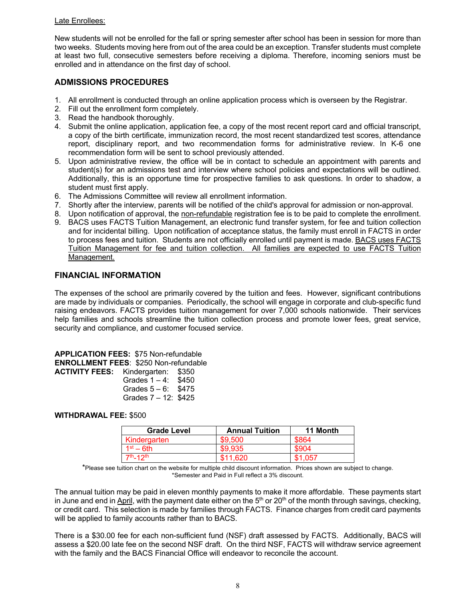#### Late Enrollees:

New students will not be enrolled for the fall or spring semester after school has been in session for more than two weeks. Students moving here from out of the area could be an exception. Transfer students must complete at least two full, consecutive semesters before receiving a diploma. Therefore, incoming seniors must be enrolled and in attendance on the first day of school.

## **ADMISSIONS PROCEDURES**

- 1. All enrollment is conducted through an online application process which is overseen by the Registrar.
- 2. Fill out the enrollment form completely.
- 3. Read the handbook thoroughly.
- 4. Submit the online application, application fee, a copy of the most recent report card and official transcript, a copy of the birth certificate, immunization record, the most recent standardized test scores, attendance report, disciplinary report, and two recommendation forms for administrative review. In K-6 one recommendation form will be sent to school previously attended.
- 5. Upon administrative review, the office will be in contact to schedule an appointment with parents and student(s) for an admissions test and interview where school policies and expectations will be outlined. Additionally, this is an opportune time for prospective families to ask questions. In order to shadow, a student must first apply.
- 6. The Admissions Committee will review all enrollment information.
- 7. Shortly after the interview, parents will be notified of the child's approval for admission or non-approval.
- 8. Upon notification of approval, the non-refundable registration fee is to be paid to complete the enrollment.
- 9. BACS uses FACTS Tuition Management, an electronic fund transfer system, for fee and tuition collection and for incidental billing. Upon notification of acceptance status, the family must enroll in FACTS in order to process fees and tuition. Students are not officially enrolled until payment is made. BACS uses FACTS Tuition Management for fee and tuition collection. All families are expected to use FACTS Tuition Management.

## **FINANCIAL INFORMATION**

The expenses of the school are primarily covered by the tuition and fees. However, significant contributions are made by individuals or companies. Periodically, the school will engage in corporate and club-specific fund raising endeavors. FACTS provides tuition management for over 7,000 schools nationwide. Their services help families and schools streamline the tuition collection process and promote lower fees, great service, security and compliance, and customer focused service.

**APPLICATION FEES:** \$75 Non-refundable **ENROLLMENT FEES**: \$250 Non-refundable **ACTIVITY FEI** 

| Kindergarten:          | \$350 |
|------------------------|-------|
| Grades $1 - 4$ :       | \$450 |
| Grades $5 - 6$ : \$475 |       |
| Grades 7 - 12: \$425   |       |
|                        |       |

## **WITHDRAWAL FEE:** \$500

| <b>Grade Level</b>      | <b>Annual Tuition</b> | 11 Month |
|-------------------------|-----------------------|----------|
| Kindergarten            | \$9,500               | \$864    |
| $1st - 6th$             | \$9.935               | \$904    |
| $7th$ -12 <sup>th</sup> | \$11.620              | \$1.057  |

\*Please see tuition chart on the website for multiple child discount information. Prices shown are subject to change. \*Semester and Paid in Full reflect a 3% discount.

The annual tuition may be paid in eleven monthly payments to make it more affordable. These payments start in June and end in April, with the payment date either on the  $5<sup>th</sup>$  or 20<sup>th</sup> of the month through savings, checking, or credit card. This selection is made by families through FACTS. Finance charges from credit card payments will be applied to family accounts rather than to BACS.

There is a \$30.00 fee for each non-sufficient fund (NSF) draft assessed by FACTS. Additionally, BACS will assess a \$20.00 late fee on the second NSF draft. On the third NSF, FACTS will withdraw service agreement with the family and the BACS Financial Office will endeavor to reconcile the account.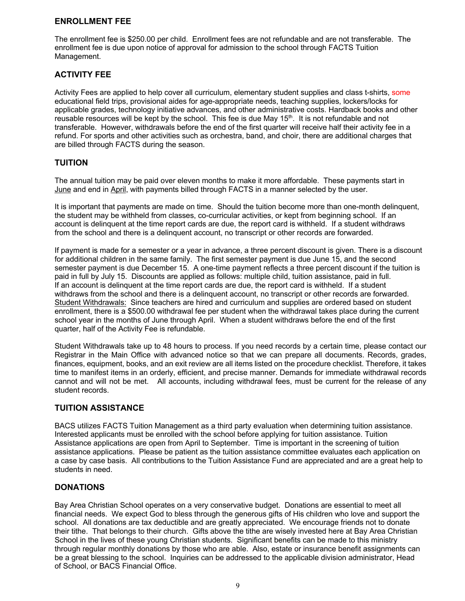## **ENROLLMENT FEE**

The enrollment fee is \$250.00 per child. Enrollment fees are not refundable and are not transferable. The enrollment fee is due upon notice of approval for admission to the school through FACTS Tuition Management.

## **ACTIVITY FEE**

Activity Fees are applied to help cover all curriculum, elementary student supplies and class t-shirts, some educational field trips, provisional aides for age-appropriate needs, teaching supplies, lockers/locks for applicable grades, technology initiative advances, and other administrative costs. Hardback books and other reusable resources will be kept by the school. This fee is due May 15<sup>th</sup>. It is not refundable and not transferable. However, withdrawals before the end of the first quarter will receive half their activity fee in a refund. For sports and other activities such as orchestra, band, and choir, there are additional charges that are billed through FACTS during the season.

## **TUITION**

The annual tuition may be paid over eleven months to make it more affordable. These payments start in June and end in April, with payments billed through FACTS in a manner selected by the user.

It is important that payments are made on time. Should the tuition become more than one-month delinquent, the student may be withheld from classes, co-curricular activities, or kept from beginning school. If an account is delinquent at the time report cards are due, the report card is withheld. If a student withdraws from the school and there is a delinquent account, no transcript or other records are forwarded.

If payment is made for a semester or a year in advance, a three percent discount is given. There is a discount for additional children in the same family. The first semester payment is due June 15, and the second semester payment is due December 15. A one-time payment reflects a three percent discount if the tuition is paid in full by July 15. Discounts are applied as follows: multiple child, tuition assistance, paid in full. If an account is delinquent at the time report cards are due, the report card is withheld. If a student withdraws from the school and there is a delinquent account, no transcript or other records are forwarded. Student Withdrawals: Since teachers are hired and curriculum and supplies are ordered based on student enrollment, there is a \$500.00 withdrawal fee per student when the withdrawal takes place during the current school year in the months of June through April. When a student withdraws before the end of the first quarter, half of the Activity Fee is refundable.

Student Withdrawals take up to 48 hours to process. If you need records by a certain time, please contact our Registrar in the Main Office with advanced notice so that we can prepare all documents. Records, grades, finances, equipment, books, and an exit review are all items listed on the procedure checklist. Therefore, it takes time to manifest items in an orderly, efficient, and precise manner. Demands for immediate withdrawal records cannot and will not be met. All accounts, including withdrawal fees, must be current for the release of any student records.

## **TUITION ASSISTANCE**

BACS utilizes FACTS Tuition Management as a third party evaluation when determining tuition assistance. Interested applicants must be enrolled with the school before applying for tuition assistance. Tuition Assistance applications are open from April to September. Time is important in the screening of tuition assistance applications. Please be patient as the tuition assistance committee evaluates each application on a case by case basis. All contributions to the Tuition Assistance Fund are appreciated and are a great help to students in need.

## **DONATIONS**

Bay Area Christian School operates on a very conservative budget. Donations are essential to meet all financial needs. We expect God to bless through the generous gifts of His children who love and support the school. All donations are tax deductible and are greatly appreciated. We encourage friends not to donate their tithe. That belongs to their church. Gifts above the tithe are wisely invested here at Bay Area Christian School in the lives of these young Christian students. Significant benefits can be made to this ministry through regular monthly donations by those who are able. Also, estate or insurance benefit assignments can be a great blessing to the school. Inquiries can be addressed to the applicable division administrator, Head of School, or BACS Financial Office.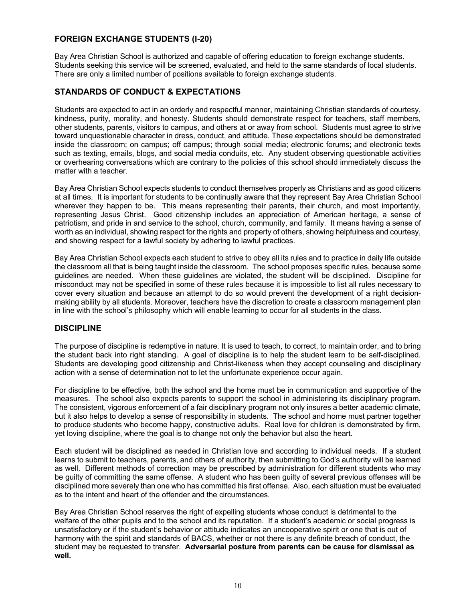## **FOREIGN EXCHANGE STUDENTS (I-20)**

Bay Area Christian School is authorized and capable of offering education to foreign exchange students. Students seeking this service will be screened, evaluated, and held to the same standards of local students. There are only a limited number of positions available to foreign exchange students.

## **STANDARDS OF CONDUCT & EXPECTATIONS**

Students are expected to act in an orderly and respectful manner, maintaining Christian standards of courtesy, kindness, purity, morality, and honesty. Students should demonstrate respect for teachers, staff members, other students, parents, visitors to campus, and others at or away from school. Students must agree to strive toward unquestionable character in dress, conduct, and attitude. These expectations should be demonstrated inside the classroom; on campus; off campus; through social media; electronic forums; and electronic texts such as texting, emails, blogs, and social media conduits, etc. Any student observing questionable activities or overhearing conversations which are contrary to the policies of this school should immediately discuss the matter with a teacher.

Bay Area Christian School expects students to conduct themselves properly as Christians and as good citizens at all times. It is important for students to be continually aware that they represent Bay Area Christian School wherever they happen to be. This means representing their parents, their church, and most importantly, representing Jesus Christ. Good citizenship includes an appreciation of American heritage, a sense of patriotism, and pride in and service to the school, church, community, and family. It means having a sense of worth as an individual, showing respect for the rights and property of others, showing helpfulness and courtesy, and showing respect for a lawful society by adhering to lawful practices.

Bay Area Christian School expects each student to strive to obey all its rules and to practice in daily life outside the classroom all that is being taught inside the classroom. The school proposes specific rules, because some guidelines are needed. When these guidelines are violated, the student will be disciplined. Discipline for misconduct may not be specified in some of these rules because it is impossible to list all rules necessary to cover every situation and because an attempt to do so would prevent the development of a right decisionmaking ability by all students. Moreover, teachers have the discretion to create a classroom management plan in line with the school's philosophy which will enable learning to occur for all students in the class.

## **DISCIPLINE**

The purpose of discipline is redemptive in nature. It is used to teach, to correct, to maintain order, and to bring the student back into right standing. A goal of discipline is to help the student learn to be self-disciplined. Students are developing good citizenship and Christ-likeness when they accept counseling and disciplinary action with a sense of determination not to let the unfortunate experience occur again.

For discipline to be effective, both the school and the home must be in communication and supportive of the measures. The school also expects parents to support the school in administering its disciplinary program. The consistent, vigorous enforcement of a fair disciplinary program not only insures a better academic climate, but it also helps to develop a sense of responsibility in students. The school and home must partner together to produce students who become happy, constructive adults. Real love for children is demonstrated by firm, yet loving discipline, where the goal is to change not only the behavior but also the heart.

Each student will be disciplined as needed in Christian love and according to individual needs. If a student learns to submit to teachers, parents, and others of authority, then submitting to God's authority will be learned as well. Different methods of correction may be prescribed by administration for different students who may be guilty of committing the same offense. A student who has been guilty of several previous offenses will be disciplined more severely than one who has committed his first offense. Also, each situation must be evaluated as to the intent and heart of the offender and the circumstances.

Bay Area Christian School reserves the right of expelling students whose conduct is detrimental to the welfare of the other pupils and to the school and its reputation. If a student's academic or social progress is unsatisfactory or if the student's behavior or attitude indicates an uncooperative spirit or one that is out of harmony with the spirit and standards of BACS, whether or not there is any definite breach of conduct, the student may be requested to transfer. **Adversarial posture from parents can be cause for dismissal as well.**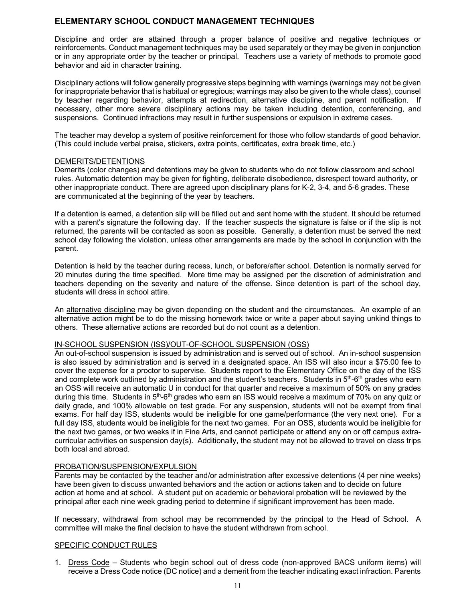## **ELEMENTARY SCHOOL CONDUCT MANAGEMENT TECHNIQUES**

Discipline and order are attained through a proper balance of positive and negative techniques or reinforcements. Conduct management techniques may be used separately or they may be given in conjunction or in any appropriate order by the teacher or principal. Teachers use a variety of methods to promote good behavior and aid in character training.

Disciplinary actions will follow generally progressive steps beginning with warnings (warnings may not be given for inappropriate behavior that is habitual or egregious; warnings may also be given to the whole class), counsel by teacher regarding behavior, attempts at redirection, alternative discipline, and parent notification. If necessary, other more severe disciplinary actions may be taken including detention, conferencing, and suspensions. Continued infractions may result in further suspensions or expulsion in extreme cases.

The teacher may develop a system of positive reinforcement for those who follow standards of good behavior. (This could include verbal praise, stickers, extra points, certificates, extra break time, etc.)

#### DEMERITS/DETENTIONS

Demerits (color changes) and detentions may be given to students who do not follow classroom and school rules. Automatic detention may be given for fighting, deliberate disobedience, disrespect toward authority, or other inappropriate conduct. There are agreed upon disciplinary plans for K-2, 3-4, and 5-6 grades. These are communicated at the beginning of the year by teachers.

If a detention is earned, a detention slip will be filled out and sent home with the student. It should be returned with a parent's signature the following day. If the teacher suspects the signature is false or if the slip is not returned, the parents will be contacted as soon as possible. Generally, a detention must be served the next school day following the violation, unless other arrangements are made by the school in conjunction with the parent.

Detention is held by the teacher during recess, lunch, or before/after school. Detention is normally served for 20 minutes during the time specified. More time may be assigned per the discretion of administration and teachers depending on the severity and nature of the offense. Since detention is part of the school day, students will dress in school attire.

An alternative discipline may be given depending on the student and the circumstances. An example of an alternative action might be to do the missing homework twice or write a paper about saying unkind things to others. These alternative actions are recorded but do not count as a detention.

#### IN-SCHOOL SUSPENSION (ISS)/OUT-OF-SCHOOL SUSPENSION (OSS)

An out-of-school suspension is issued by administration and is served out of school. An in-school suspension is also issued by administration and is served in a designated space. An ISS will also incur a \$75.00 fee to cover the expense for a proctor to supervise. Students report to the Elementary Office on the day of the ISS and complete work outlined by administration and the student's teachers. Students in 5<sup>th</sup>-6<sup>th</sup> grades who earn an OSS will receive an automatic U in conduct for that quarter and receive a maximum of 50% on any grades during this time. Students in 5<sup>th</sup>-6<sup>th</sup> grades who earn an ISS would receive a maximum of 70% on any quiz or daily grade, and 100% allowable on test grade. For any suspension, students will not be exempt from final exams. For half day ISS, students would be ineligible for one game/performance (the very next one). For a full day ISS, students would be ineligible for the next two games. For an OSS, students would be ineligible for the next two games, or two weeks if in Fine Arts, and cannot participate or attend any on or off campus extracurricular activities on suspension day(s). Additionally, the student may not be allowed to travel on class trips both local and abroad.

#### PROBATION/SUSPENSION/EXPULSION

Parents may be contacted by the teacher and/or administration after excessive detentions (4 per nine weeks) have been given to discuss unwanted behaviors and the action or actions taken and to decide on future action at home and at school. A student put on academic or behavioral probation will be reviewed by the principal after each nine week grading period to determine if significant improvement has been made.

If necessary, withdrawal from school may be recommended by the principal to the Head of School. A committee will make the final decision to have the student withdrawn from school.

#### SPECIFIC CONDUCT RULES

1. Dress Code – Students who begin school out of dress code (non-approved BACS uniform items) will receive a Dress Code notice (DC notice) and a demerit from the teacher indicating exact infraction. Parents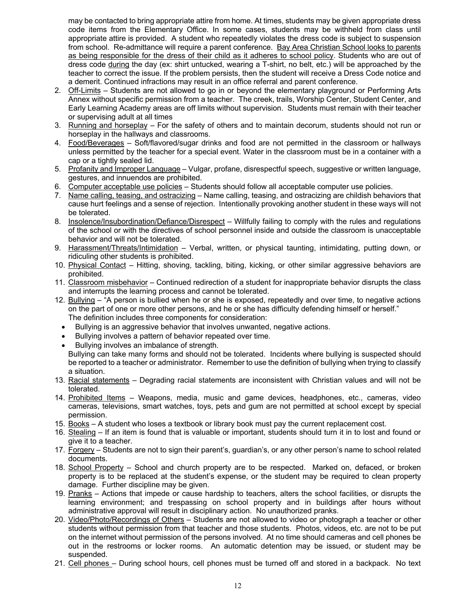may be contacted to bring appropriate attire from home. At times, students may be given appropriate dress code items from the Elementary Office. In some cases, students may be withheld from class until appropriate attire is provided. A student who repeatedly violates the dress code is subject to suspension from school. Re-admittance will require a parent conference. Bay Area Christian School looks to parents as being responsible for the dress of their child as it adheres to school policy. Students who are out of dress code during the day (ex: shirt untucked, wearing a T-shirt, no belt, etc.) will be approached by the teacher to correct the issue. If the problem persists, then the student will receive a Dress Code notice and a demerit. Continued infractions may result in an office referral and parent conference.

- 2. Off-Limits Students are not allowed to go in or beyond the elementary playground or Performing Arts Annex without specific permission from a teacher. The creek, trails, Worship Center, Student Center, and Early Learning Academy areas are off limits without supervision. Students must remain with their teacher or supervising adult at all times
- 3. Running and horseplay For the safety of others and to maintain decorum, students should not run or horseplay in the hallways and classrooms.
- 4. Food/Beverages Soft/flavored/sugar drinks and food are not permitted in the classroom or hallways unless permitted by the teacher for a special event. Water in the classroom must be in a container with a cap or a tightly sealed lid.
- 5. Profanity and Improper Language Vulgar, profane, disrespectful speech, suggestive or written language, gestures, and innuendos are prohibited.
- 6. Computer acceptable use policies Students should follow all acceptable computer use policies.
- 7. Name calling, teasing, and ostracizing Name calling, teasing, and ostracizing are childish behaviors that cause hurt feelings and a sense of rejection. Intentionally provoking another student in these ways will not be tolerated.
- 8. Insolence/Insubordination/Defiance/Disrespect Willfully failing to comply with the rules and regulations of the school or with the directives of school personnel inside and outside the classroom is unacceptable behavior and will not be tolerated.
- 9. Harassment/Threats/Intimidation Verbal, written, or physical taunting, intimidating, putting down, or ridiculing other students is prohibited.
- 10. Physical Contact Hitting, shoving, tackling, biting, kicking, or other similar aggressive behaviors are prohibited.
- 11. Classroom misbehavior Continued redirection of a student for inappropriate behavior disrupts the class and interrupts the learning process and cannot be tolerated.
- 12. Bullying "A person is bullied when he or she is exposed, repeatedly and over time, to negative actions on the part of one or more other persons, and he or she has difficulty defending himself or herself." The definition includes three components for consideration:
	- Bullying is an aggressive behavior that involves unwanted, negative actions.
	- Bullying involves a pattern of behavior repeated over time.
	- Bullying involves an imbalance of strength.

Bullying can take many forms and should not be tolerated. Incidents where bullying is suspected should be reported to a teacher or administrator. Remember to use the definition of bullying when trying to classify a situation.

- 13. Racial statements Degrading racial statements are inconsistent with Christian values and will not be tolerated.
- 14. Prohibited Items Weapons, media, music and game devices, headphones, etc., cameras, video cameras, televisions, smart watches, toys, pets and gum are not permitted at school except by special permission.
- 15. Books A student who loses a textbook or library book must pay the current replacement cost.
- 16. Stealing If an item is found that is valuable or important, students should turn it in to lost and found or give it to a teacher.
- 17. Forgery Students are not to sign their parent's, guardian's, or any other person's name to school related documents.
- 18. School Property School and church property are to be respected. Marked on, defaced, or broken property is to be replaced at the student's expense, or the student may be required to clean property damage. Further discipline may be given.
- 19. Pranks Actions that impede or cause hardship to teachers, alters the school facilities, or disrupts the learning environment; and trespassing on school property and in buildings after hours without administrative approval will result in disciplinary action. No unauthorized pranks.
- 20. Video/Photo/Recordings of Others Students are not allowed to video or photograph a teacher or other students without permission from that teacher and those students. Photos, videos, etc. are not to be put on the internet without permission of the persons involved. At no time should cameras and cell phones be out in the restrooms or locker rooms. An automatic detention may be issued, or student may be suspended.
- 21. Cell phones During school hours, cell phones must be turned off and stored in a backpack. No text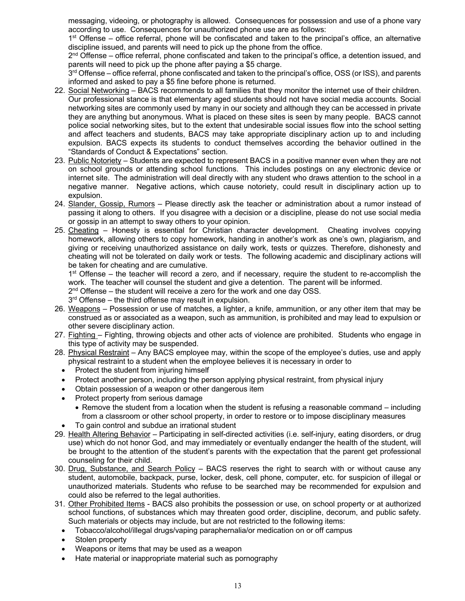messaging, videoing, or photography is allowed. Consequences for possession and use of a phone vary according to use. Consequences for unauthorized phone use are as follows:

1<sup>st</sup> Offense – office referral, phone will be confiscated and taken to the principal's office, an alternative discipline issued, and parents will need to pick up the phone from the office.

 $2<sup>nd</sup>$  Offense – office referral, phone confiscated and taken to the principal's office, a detention issued, and parents will need to pick up the phone after paying a \$5 charge.

 $3<sup>rd</sup>$  Offense – office referral, phone confiscated and taken to the principal's office, OSS (or ISS), and parents informed and asked to pay a \$5 fine before phone is returned.

- 22. Social Networking BACS recommends to all families that they monitor the internet use of their children. Our professional stance is that elementary aged students should not have social media accounts. Social networking sites are commonly used by many in our society and although they can be accessed in private they are anything but anonymous. What is placed on these sites is seen by many people. BACS cannot police social networking sites, but to the extent that undesirable social issues flow into the school setting and affect teachers and students, BACS may take appropriate disciplinary action up to and including expulsion. BACS expects its students to conduct themselves according the behavior outlined in the "Standards of Conduct & Expectations" section.
- 23. Public Notoriety Students are expected to represent BACS in a positive manner even when they are not on school grounds or attending school functions. This includes postings on any electronic device or internet site. The administration will deal directly with any student who draws attention to the school in a negative manner. Negative actions, which cause notoriety, could result in disciplinary action up to expulsion.
- 24. Slander, Gossip, Rumors Please directly ask the teacher or administration about a rumor instead of passing it along to others. If you disagree with a decision or a discipline, please do not use social media or gossip in an attempt to sway others to your opinion.
- 25. Cheating Honesty is essential for Christian character development. Cheating involves copying homework, allowing others to copy homework, handing in another's work as one's own, plagiarism, and giving or receiving unauthorized assistance on daily work, tests or quizzes. Therefore, dishonesty and cheating will not be tolerated on daily work or tests. The following academic and disciplinary actions will be taken for cheating and are cumulative.

 $1<sup>st</sup>$  Offense – the teacher will record a zero, and if necessary, require the student to re-accomplish the work. The teacher will counsel the student and give a detention. The parent will be informed.

 $2<sup>nd</sup>$  Offense – the student will receive a zero for the work and one day OSS.

 $3<sup>rd</sup>$  Offense – the third offense may result in expulsion.

- 26. Weapons Possession or use of matches, a lighter, a knife, ammunition, or any other item that may be construed as or associated as a weapon, such as ammunition, is prohibited and may lead to expulsion or other severe disciplinary action.
- 27. Fighting Fighting, throwing objects and other acts of violence are prohibited. Students who engage in this type of activity may be suspended.
- 28. Physical Restraint Any BACS employee may, within the scope of the employee's duties, use and apply physical restraint to a student when the employee believes it is necessary in order to
	- Protect the student from injuring himself
	- Protect another person, including the person applying physical restraint, from physical injury
	- Obtain possession of a weapon or other dangerous item
	- Protect property from serious damage
		- Remove the student from a location when the student is refusing a reasonable command including from a classroom or other school property, in order to restore or to impose disciplinary measures
- To gain control and subdue an irrational student
- 29. Health Altering Behavior Participating in self-directed activities (i.e. self-injury, eating disorders, or drug use) which do not honor God, and may immediately or eventually endanger the health of the student, will be brought to the attention of the student's parents with the expectation that the parent get professional counseling for their child.
- 30. Drug, Substance, and Search Policy BACS reserves the right to search with or without cause any student, automobile, backpack, purse, locker, desk, cell phone, computer, etc. for suspicion of illegal or unauthorized materials. Students who refuse to be searched may be recommended for expulsion and could also be referred to the legal authorities.
- 31. Other Prohibited Items BACS also prohibits the possession or use, on school property or at authorized school functions, of substances which may threaten good order, discipline, decorum, and public safety. Such materials or objects may include, but are not restricted to the following items:
	- Tobacco/alcohol/illegal drugs/vaping paraphernalia/or medication on or off campus
	- Stolen property
	- Weapons or items that may be used as a weapon
	- Hate material or inappropriate material such as pornography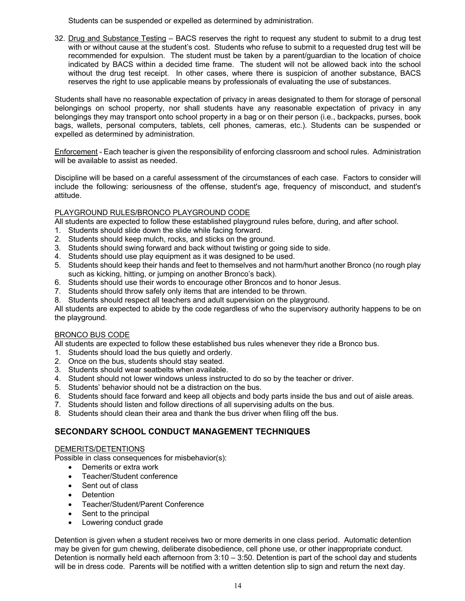Students can be suspended or expelled as determined by administration.

32. Drug and Substance Testing – BACS reserves the right to request any student to submit to a drug test with or without cause at the student's cost. Students who refuse to submit to a requested drug test will be recommended for expulsion. The student must be taken by a parent/guardian to the location of choice indicated by BACS within a decided time frame. The student will not be allowed back into the school without the drug test receipt. In other cases, where there is suspicion of another substance, BACS reserves the right to use applicable means by professionals of evaluating the use of substances.

Students shall have no reasonable expectation of privacy in areas designated to them for storage of personal belongings on school property, nor shall students have any reasonable expectation of privacy in any belongings they may transport onto school property in a bag or on their person (i.e., backpacks, purses, book bags, wallets, personal computers, tablets, cell phones, cameras, etc.). Students can be suspended or expelled as determined by administration.

Enforcement - Each teacher is given the responsibility of enforcing classroom and school rules. Administration will be available to assist as needed.

Discipline will be based on a careful assessment of the circumstances of each case. Factors to consider will include the following: seriousness of the offense, student's age, frequency of misconduct, and student's attitude.

## PLAYGROUND RULES/BRONCO PLAYGROUND CODE

All students are expected to follow these established playground rules before, during, and after school.

- 1. Students should slide down the slide while facing forward.
- 2. Students should keep mulch, rocks, and sticks on the ground.
- 3. Students should swing forward and back without twisting or going side to side.
- 4. Students should use play equipment as it was designed to be used.
- 5. Students should keep their hands and feet to themselves and not harm/hurt another Bronco (no rough play such as kicking, hitting, or jumping on another Bronco's back).
- 6. Students should use their words to encourage other Broncos and to honor Jesus.
- 7. Students should throw safely only items that are intended to be thrown.
- 8. Students should respect all teachers and adult supervision on the playground.

All students are expected to abide by the code regardless of who the supervisory authority happens to be on the playground.

#### BRONCO BUS CODE

All students are expected to follow these established bus rules whenever they ride a Bronco bus.

- 1. Students should load the bus quietly and orderly.
- 2. Once on the bus, students should stay seated.
- 3. Students should wear seatbelts when available.
- 4. Student should not lower windows unless instructed to do so by the teacher or driver.
- 5. Students' behavior should not be a distraction on the bus.
- 6. Students should face forward and keep all objects and body parts inside the bus and out of aisle areas.
- 7. Students should listen and follow directions of all supervising adults on the bus.
- 8. Students should clean their area and thank the bus driver when filing off the bus.

## **SECONDARY SCHOOL CONDUCT MANAGEMENT TECHNIQUES**

#### DEMERITS/DETENTIONS

Possible in class consequences for misbehavior(s):

- Demerits or extra work
- Teacher/Student conference
- Sent out of class
- Detention
- Teacher/Student/Parent Conference
- Sent to the principal
- Lowering conduct grade

Detention is given when a student receives two or more demerits in one class period. Automatic detention may be given for gum chewing, deliberate disobedience, cell phone use, or other inappropriate conduct. Detention is normally held each afternoon from 3:10 – 3:50. Detention is part of the school day and students will be in dress code. Parents will be notified with a written detention slip to sign and return the next day.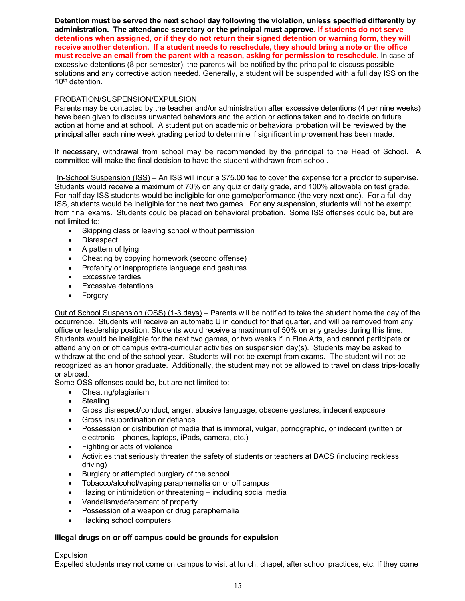**Detention must be served the next school day following the violation, unless specified differently by administration. The attendance secretary or the principal must approve. If students do not serve detentions when assigned, or if they do not return their signed detention or warning form, they will receive another detention. If a student needs to reschedule, they should bring a note or the office must receive an email from the parent with a reason, asking for permission to reschedule.** In case of excessive detentions (8 per semester), the parents will be notified by the principal to discuss possible solutions and any corrective action needed. Generally, a student will be suspended with a full day ISS on the 10<sup>th</sup> detention.

#### PROBATION/SUSPENSION/EXPULSION

Parents may be contacted by the teacher and/or administration after excessive detentions (4 per nine weeks) have been given to discuss unwanted behaviors and the action or actions taken and to decide on future action at home and at school. A student put on academic or behavioral probation will be reviewed by the principal after each nine week grading period to determine if significant improvement has been made.

If necessary, withdrawal from school may be recommended by the principal to the Head of School. A committee will make the final decision to have the student withdrawn from school.

In-School Suspension (ISS) – An ISS will incur a \$75.00 fee to cover the expense for a proctor to supervise. Students would receive a maximum of 70% on any quiz or daily grade, and 100% allowable on test grade. For half day ISS students would be ineligible for one game/performance (the very next one). For a full day ISS, students would be ineligible for the next two games. For any suspension, students will not be exempt from final exams. Students could be placed on behavioral probation. Some ISS offenses could be, but are not limited to:

- Skipping class or leaving school without permission
- **Disrespect**
- A pattern of lying
- Cheating by copying homework (second offense)
- Profanity or inappropriate language and gestures
- Excessive tardies
- Excessive detentions
- Forgery

Out of School Suspension (OSS) (1-3 days) – Parents will be notified to take the student home the day of the occurrence. Students will receive an automatic U in conduct for that quarter, and will be removed from any office or leadership position. Students would receive a maximum of 50% on any grades during this time. Students would be ineligible for the next two games, or two weeks if in Fine Arts, and cannot participate or attend any on or off campus extra-curricular activities on suspension day(s). Students may be asked to withdraw at the end of the school year. Students will not be exempt from exams. The student will not be recognized as an honor graduate. Additionally, the student may not be allowed to travel on class trips-locally or abroad.

Some OSS offenses could be, but are not limited to:

- Cheating/plagiarism
- Stealing
- Gross disrespect/conduct, anger, abusive language, obscene gestures, indecent exposure
- Gross insubordination or defiance
- Possession or distribution of media that is immoral, vulgar, pornographic, or indecent (written or electronic – phones, laptops, iPads, camera, etc.)
- Fighting or acts of violence
- Activities that seriously threaten the safety of students or teachers at BACS (including reckless driving)
- Burglary or attempted burglary of the school
- Tobacco/alcohol/vaping paraphernalia on or off campus
- Hazing or intimidation or threatening including social media
- Vandalism/defacement of property
- Possession of a weapon or drug paraphernalia
- Hacking school computers

## **Illegal drugs on or off campus could be grounds for expulsion**

#### Expulsion

Expelled students may not come on campus to visit at lunch, chapel, after school practices, etc. If they come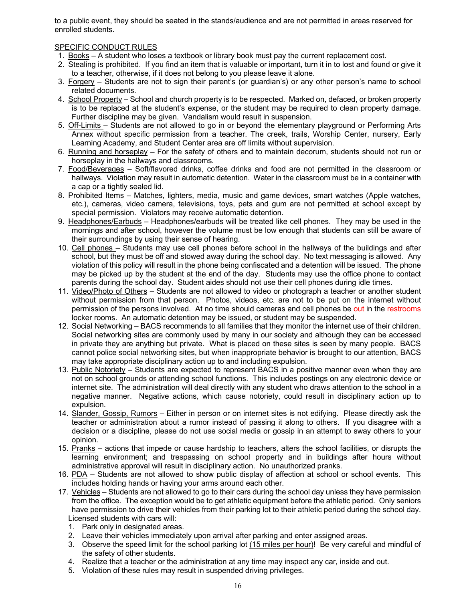to a public event, they should be seated in the stands/audience and are not permitted in areas reserved for enrolled students.

## SPECIFIC CONDUCT RULES

- 1. Books A student who loses a textbook or library book must pay the current replacement cost.
- 2. Stealing is prohibited. If you find an item that is valuable or important, turn it in to lost and found or give it to a teacher, otherwise, if it does not belong to you please leave it alone.
- 3. Forgery Students are not to sign their parent's (or guardian's) or any other person's name to school related documents.
- 4. School Property School and church property is to be respected. Marked on, defaced, or broken property is to be replaced at the student's expense, or the student may be required to clean property damage. Further discipline may be given. Vandalism would result in suspension.
- 5. Off-Limits Students are not allowed to go in or beyond the elementary playground or Performing Arts Annex without specific permission from a teacher. The creek, trails, Worship Center, nursery, Early Learning Academy, and Student Center area are off limits without supervision.
- 6. Running and horseplay For the safety of others and to maintain decorum, students should not run or horseplay in the hallways and classrooms.
- 7. Food/Beverages Soft/flavored drinks, coffee drinks and food are not permitted in the classroom or hallways. Violation may result in automatic detention. Water in the classroom must be in a container with a cap or a tightly sealed lid.
- 8. Prohibited Items Matches, lighters, media, music and game devices, smart watches (Apple watches, etc.), cameras, video camera, televisions, toys, pets and gum are not permitted at school except by special permission. Violators may receive automatic detention.
- 9. Headphones/Earbuds Headphones/earbuds will be treated like cell phones. They may be used in the mornings and after school, however the volume must be low enough that students can still be aware of their surroundings by using their sense of hearing.
- 10. Cell phones Students may use cell phones before school in the hallways of the buildings and after school, but they must be off and stowed away during the school day. No text messaging is allowed. Any violation of this policy will result in the phone being confiscated and a detention will be issued. The phone may be picked up by the student at the end of the day. Students may use the office phone to contact parents during the school day. Student aides should not use their cell phones during idle times.
- 11. Video/Photo of Others Students are not allowed to video or photograph a teacher or another student without permission from that person. Photos, videos, etc. are not to be put on the internet without permission of the persons involved. At no time should cameras and cell phones be out in the restrooms locker rooms. An automatic detention may be issued, or student may be suspended.
- 12. Social Networking BACS recommends to all families that they monitor the internet use of their children. Social networking sites are commonly used by many in our society and although they can be accessed in private they are anything but private. What is placed on these sites is seen by many people. BACS cannot police social networking sites, but when inappropriate behavior is brought to our attention, BACS may take appropriate disciplinary action up to and including expulsion.
- 13. Public Notoriety Students are expected to represent BACS in a positive manner even when they are not on school grounds or attending school functions. This includes postings on any electronic device or internet site. The administration will deal directly with any student who draws attention to the school in a negative manner. Negative actions, which cause notoriety, could result in disciplinary action up to expulsion.
- 14. Slander, Gossip, Rumors Either in person or on internet sites is not edifying. Please directly ask the teacher or administration about a rumor instead of passing it along to others. If you disagree with a decision or a discipline, please do not use social media or gossip in an attempt to sway others to your opinion.
- 15. Pranks actions that impede or cause hardship to teachers, alters the school facilities, or disrupts the learning environment; and trespassing on school property and in buildings after hours without administrative approval will result in disciplinary action. No unauthorized pranks.
- 16. PDA Students are not allowed to show public display of affection at school or school events. This includes holding hands or having your arms around each other.
- 17. Vehicles Students are not allowed to go to their cars during the school day unless they have permission from the office. The exception would be to get athletic equipment before the athletic period. Only seniors have permission to drive their vehicles from their parking lot to their athletic period during the school day. Licensed students with cars will:
	- 1. Park only in designated areas.
	- 2. Leave their vehicles immediately upon arrival after parking and enter assigned areas.
	- 3. Observe the speed limit for the school parking lot (15 miles per hour)! Be very careful and mindful of the safety of other students.
	- 4. Realize that a teacher or the administration at any time may inspect any car, inside and out.
	- 5. Violation of these rules may result in suspended driving privileges.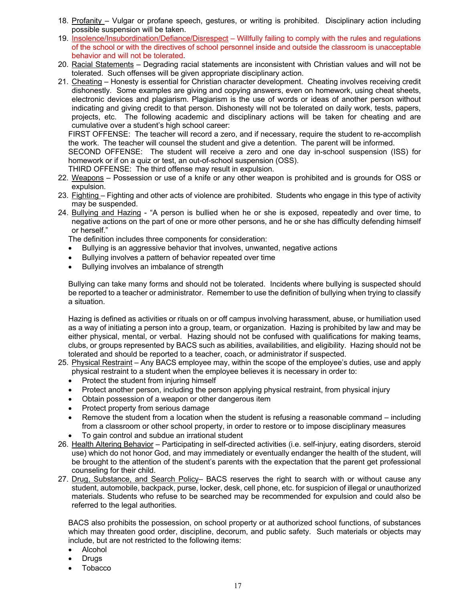- 18. Profanity Vulgar or profane speech, gestures, or writing is prohibited. Disciplinary action including possible suspension will be taken.
- 19. Insolence/Insubordination/Defiance/Disrespect Willfully failing to comply with the rules and regulations of the school or with the directives of school personnel inside and outside the classroom is unacceptable behavior and will not be tolerated.
- 20. Racial Statements Degrading racial statements are inconsistent with Christian values and will not be tolerated. Such offenses will be given appropriate disciplinary action.
- 21. Cheating Honesty is essential for Christian character development. Cheating involves receiving credit dishonestly. Some examples are giving and copying answers, even on homework, using cheat sheets, electronic devices and plagiarism. Plagiarism is the use of words or ideas of another person without indicating and giving credit to that person. Dishonesty will not be tolerated on daily work, tests, papers, projects, etc. The following academic and disciplinary actions will be taken for cheating and are cumulative over a student's high school career:

FIRST OFFENSE: The teacher will record a zero, and if necessary, require the student to re-accomplish the work. The teacher will counsel the student and give a detention. The parent will be informed.

SECOND OFFENSE: The student will receive a zero and one day in-school suspension (ISS) for homework or if on a quiz or test, an out-of-school suspension (OSS).

THIRD OFFENSE: The third offense may result in expulsion.

- 22. Weapons Possession or use of a knife or any other weapon is prohibited and is grounds for OSS or expulsion.
- 23. Fighting Fighting and other acts of violence are prohibited. Students who engage in this type of activity may be suspended.
- 24. Bullying and Hazing "A person is bullied when he or she is exposed, repeatedly and over time, to negative actions on the part of one or more other persons, and he or she has difficulty defending himself or herself."

The definition includes three components for consideration:

- Bullying is an aggressive behavior that involves, unwanted, negative actions
- Bullying involves a pattern of behavior repeated over time
- Bullying involves an imbalance of strength

Bullying can take many forms and should not be tolerated. Incidents where bullying is suspected should be reported to a teacher or administrator. Remember to use the definition of bullying when trying to classify a situation.

Hazing is defined as activities or rituals on or off campus involving harassment, abuse, or humiliation used as a way of initiating a person into a group, team, or organization. Hazing is prohibited by law and may be either physical, mental, or verbal. Hazing should not be confused with qualifications for making teams, clubs, or groups represented by BACS such as abilities, availabilities, and eligibility. Hazing should not be tolerated and should be reported to a teacher, coach, or administrator if suspected.

- 25. Physical Restraint Any BACS employee may, within the scope of the employee's duties, use and apply physical restraint to a student when the employee believes it is necessary in order to:
	- Protect the student from injuring himself
	- Protect another person, including the person applying physical restraint, from physical injury
	- Obtain possession of a weapon or other dangerous item
	- Protect property from serious damage
	- Remove the student from a location when the student is refusing a reasonable command including from a classroom or other school property, in order to restore or to impose disciplinary measures
	- To gain control and subdue an irrational student
- 26. Health Altering Behavior Participating in self-directed activities (i.e. self-injury, eating disorders, steroid use) which do not honor God, and may immediately or eventually endanger the health of the student, will be brought to the attention of the student's parents with the expectation that the parent get professional counseling for their child.
- 27. Drug, Substance, and Search Policy- BACS reserves the right to search with or without cause any student, automobile, backpack, purse, locker, desk, cell phone, etc. for suspicion of illegal or unauthorized materials. Students who refuse to be searched may be recommended for expulsion and could also be referred to the legal authorities.

BACS also prohibits the possession, on school property or at authorized school functions, of substances which may threaten good order, discipline, decorum, and public safety. Such materials or objects may include, but are not restricted to the following items:

- Alcohol
- Drugs
- Tobacco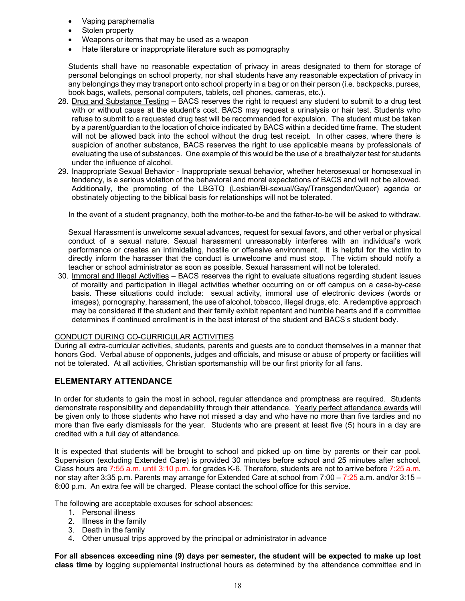- Vaping paraphernalia
- Stolen property
- Weapons or items that may be used as a weapon
- Hate literature or inappropriate literature such as pornography

Students shall have no reasonable expectation of privacy in areas designated to them for storage of personal belongings on school property, nor shall students have any reasonable expectation of privacy in any belongings they may transport onto school property in a bag or on their person (i.e. backpacks, purses, book bags, wallets, personal computers, tablets, cell phones, cameras, etc.).

- 28. Drug and Substance Testing BACS reserves the right to request any student to submit to a drug test with or without cause at the student's cost. BACS may request a urinalysis or hair test. Students who refuse to submit to a requested drug test will be recommended for expulsion. The student must be taken by a parent/guardian to the location of choice indicated by BACS within a decided time frame. The student will not be allowed back into the school without the drug test receipt. In other cases, where there is suspicion of another substance, BACS reserves the right to use applicable means by professionals of evaluating the use of substances. One example of this would be the use of a breathalyzer test for students under the influence of alcohol.
- 29. Inappropriate Sexual Behavior Inappropriate sexual behavior, whether heterosexual or homosexual in tendency, is a serious violation of the behavioral and moral expectations of BACS and will not be allowed. Additionally, the promoting of the LBGTQ (Lesbian/Bi-sexual/Gay/Transgender/Queer) agenda or obstinately objecting to the biblical basis for relationships will not be tolerated.

In the event of a student pregnancy, both the mother-to-be and the father-to-be will be asked to withdraw.

Sexual Harassment is unwelcome sexual advances, request for sexual favors, and other verbal or physical conduct of a sexual nature. Sexual harassment unreasonably interferes with an individual's work performance or creates an intimidating, hostile or offensive environment. It is helpful for the victim to directly inform the harasser that the conduct is unwelcome and must stop. The victim should notify a teacher or school administrator as soon as possible. Sexual harassment will not be tolerated.

30. Immoral and Illegal Activities – BACS reserves the right to evaluate situations regarding student issues of morality and participation in illegal activities whether occurring on or off campus on a case-by-case basis. These situations could include: sexual activity, immoral use of electronic devices (words or images), pornography, harassment, the use of alcohol, tobacco, illegal drugs, etc. A redemptive approach may be considered if the student and their family exhibit repentant and humble hearts and if a committee determines if continued enrollment is in the best interest of the student and BACS's student body.

#### CONDUCT DURING CO-CURRICULAR ACTIVITIES

During all extra-curricular activities, students, parents and guests are to conduct themselves in a manner that honors God. Verbal abuse of opponents, judges and officials, and misuse or abuse of property or facilities will not be tolerated. At all activities, Christian sportsmanship will be our first priority for all fans.

## **ELEMENTARY ATTENDANCE**

In order for students to gain the most in school, regular attendance and promptness are required. Students demonstrate responsibility and dependability through their attendance. Yearly perfect attendance awards will be given only to those students who have not missed a day and who have no more than five tardies and no more than five early dismissals for the year. Students who are present at least five (5) hours in a day are credited with a full day of attendance.

It is expected that students will be brought to school and picked up on time by parents or their car pool. Supervision (excluding Extended Care) is provided 30 minutes before school and 25 minutes after school. Class hours are 7:55 a.m. until 3:10 p.m. for grades K-6. Therefore, students are not to arrive before 7:25 a.m. nor stay after 3:35 p.m. Parents may arrange for Extended Care at school from 7:00 – 7:25 a.m. and/or 3:15 – 6:00 p.m. An extra fee will be charged. Please contact the school office for this service.

The following are acceptable excuses for school absences:

- 1. Personal illness
- 2. Illness in the family
- 3. Death in the family
- 4. Other unusual trips approved by the principal or administrator in advance

**For all absences exceeding nine (9) days per semester, the student will be expected to make up lost class time** by logging supplemental instructional hours as determined by the attendance committee and in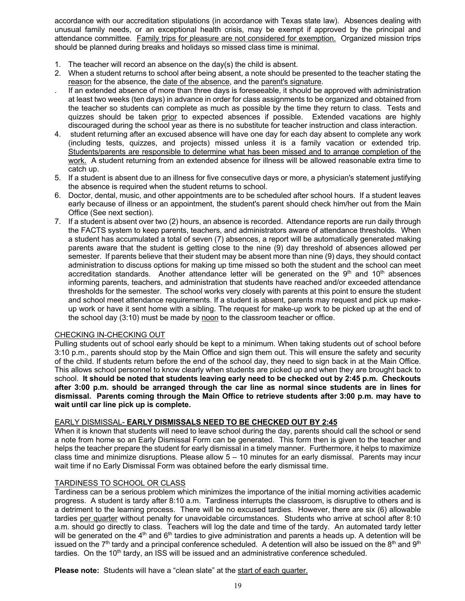accordance with our accreditation stipulations (in accordance with Texas state law). Absences dealing with unusual family needs, or an exceptional health crisis, may be exempt if approved by the principal and attendance committee. Family trips for pleasure are not considered for exemption. Organized mission trips should be planned during breaks and holidays so missed class time is minimal.

- 1. The teacher will record an absence on the day(s) the child is absent.
- 2. When a student returns to school after being absent, a note should be presented to the teacher stating the reason for the absence, the date of the absence, and the parent's signature.
- . If an extended absence of more than three days is foreseeable, it should be approved with administration at least two weeks (ten days) in advance in order for class assignments to be organized and obtained from the teacher so students can complete as much as possible by the time they return to class. Tests and quizzes should be taken prior to expected absences if possible. Extended vacations are highly discouraged during the school year as there is no substitute for teacher instruction and class interaction.
- 4. student returning after an excused absence will have one day for each day absent to complete any work (including tests, quizzes, and projects) missed unless it is a family vacation or extended trip. Students/parents are responsible to determine what has been missed and to arrange completion of the work. A student returning from an extended absence for illness will be allowed reasonable extra time to catch up.
- 5. If a student is absent due to an illness for five consecutive days or more, a physician's statement justifying the absence is required when the student returns to school.
- 6. Doctor, dental, music, and other appointments are to be scheduled after school hours. If a student leaves early because of illness or an appointment, the student's parent should check him/her out from the Main Office (See next section).
- 7. If a student is absent over two (2) hours, an absence is recorded. Attendance reports are run daily through the FACTS system to keep parents, teachers, and administrators aware of attendance thresholds. When a student has accumulated a total of seven (7) absences, a report will be automatically generated making parents aware that the student is getting close to the nine (9) day threshold of absences allowed per semester. If parents believe that their student may be absent more than nine (9) days, they should contact administration to discuss options for making up time missed so both the student and the school can meet accreditation standards. Another attendance letter will be generated on the  $9<sup>th</sup>$  and  $10<sup>th</sup>$  absences informing parents, teachers, and administration that students have reached and/or exceeded attendance thresholds for the semester. The school works very closely with parents at this point to ensure the student and school meet attendance requirements. If a student is absent, parents may request and pick up makeup work or have it sent home with a sibling. The request for make-up work to be picked up at the end of the school day (3:10) must be made by noon to the classroom teacher or office.

#### CHECKING IN-CHECKING OUT

Pulling students out of school early should be kept to a minimum. When taking students out of school before 3:10 p.m., parents should stop by the Main Office and sign them out. This will ensure the safety and security of the child. If students return before the end of the school day, they need to sign back in at the Main Office. This allows school personnel to know clearly when students are picked up and when they are brought back to school. **It should be noted that students leaving early need to be checked out by 2:45 p.m. Checkouts after 3:00 p.m. should be arranged through the car line as normal since students are in lines for dismissal. Parents coming through the Main Office to retrieve students after 3:00 p.m. may have to wait until car line pick up is complete.**

#### EARLY DISMISSAL- **EARLY DISMISSALS NEED TO BE CHECKED OUT BY 2:45**

When it is known that students will need to leave school during the day, parents should call the school or send a note from home so an Early Dismissal Form can be generated. This form then is given to the teacher and helps the teacher prepare the student for early dismissal in a timely manner. Furthermore, it helps to maximize class time and minimize disruptions. Please allow 5 – 10 minutes for an early dismissal. Parents may incur wait time if no Early Dismissal Form was obtained before the early dismissal time.

#### TARDINESS TO SCHOOL OR CLASS

Tardiness can be a serious problem which minimizes the importance of the initial morning activities academic progress. A student is tardy after 8:10 a.m. Tardiness interrupts the classroom, is disruptive to others and is a detriment to the learning process. There will be no excused tardies. However, there are six (6) allowable tardies per quarter without penalty for unavoidable circumstances. Students who arrive at school after 8:10 a.m. should go directly to class. Teachers will log the date and time of the tardy. An automated tardy letter will be generated on the  $4<sup>th</sup>$  and  $6<sup>th</sup>$  tardies to give administration and parents a heads up. A detention will be issued on the  $7<sup>th</sup>$  tardy and a principal conference scheduled. A detention will also be issued on the  $8<sup>th</sup>$  and  $9<sup>th</sup>$ tardies. On the  $10<sup>th</sup>$  tardy, an ISS will be issued and an administrative conference scheduled.

**Please note:** Students will have a "clean slate" at the start of each quarter.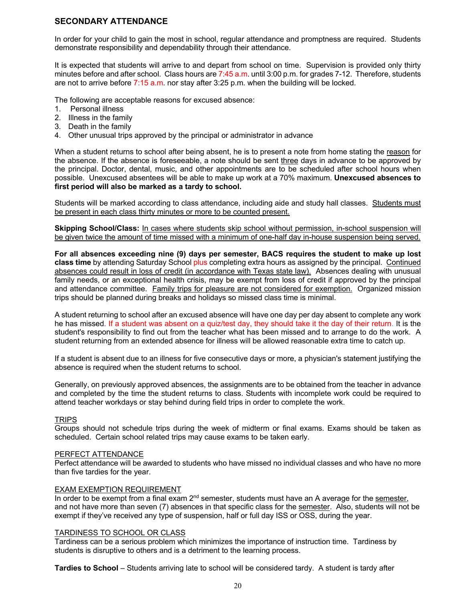## **SECONDARY ATTENDANCE**

In order for your child to gain the most in school, regular attendance and promptness are required. Students demonstrate responsibility and dependability through their attendance.

It is expected that students will arrive to and depart from school on time. Supervision is provided only thirty minutes before and after school. Class hours are 7:45 a.m. until 3:00 p.m. for grades 7-12. Therefore, students are not to arrive before 7:15 a.m. nor stay after 3:25 p.m. when the building will be locked.

The following are acceptable reasons for excused absence:

- 1. Personal illness
- 2. Illness in the family
- 3. Death in the family
- 4. Other unusual trips approved by the principal or administrator in advance

When a student returns to school after being absent, he is to present a note from home stating the reason for the absence. If the absence is foreseeable, a note should be sent three days in advance to be approved by the principal. Doctor, dental, music, and other appointments are to be scheduled after school hours when possible. Unexcused absentees will be able to make up work at a 70% maximum. **Unexcused absences to first period will also be marked as a tardy to school.**

Students will be marked according to class attendance, including aide and study hall classes. Students must be present in each class thirty minutes or more to be counted present.

**Skipping School/Class:** In cases where students skip school without permission, in-school suspension will be given twice the amount of time missed with a minimum of one-half day in-house suspension being served.

**For all absences exceeding nine (9) days per semester, BACS requires the student to make up lost class time** by attending Saturday School plus completing extra hours as assigned by the principal. Continued absences could result in loss of credit (in accordance with Texas state law). Absences dealing with unusual family needs, or an exceptional health crisis, may be exempt from loss of credit if approved by the principal and attendance committee. Family trips for pleasure are not considered for exemption. Organized mission trips should be planned during breaks and holidays so missed class time is minimal.

A student returning to school after an excused absence will have one day per day absent to complete any work he has missed. If a student was absent on a quiz/test day, they should take it the day of their return. It is the student's responsibility to find out from the teacher what has been missed and to arrange to do the work. A student returning from an extended absence for illness will be allowed reasonable extra time to catch up.

If a student is absent due to an illness for five consecutive days or more, a physician's statement justifying the absence is required when the student returns to school.

Generally, on previously approved absences, the assignments are to be obtained from the teacher in advance and completed by the time the student returns to class. Students with incomplete work could be required to attend teacher workdays or stay behind during field trips in order to complete the work.

#### **TRIPS**

Groups should not schedule trips during the week of midterm or final exams. Exams should be taken as scheduled. Certain school related trips may cause exams to be taken early.

#### PERFECT ATTENDANCE

Perfect attendance will be awarded to students who have missed no individual classes and who have no more than five tardies for the year.

#### EXAM EXEMPTION REQUIREMENT

In order to be exempt from a final exam  $2<sup>nd</sup>$  semester, students must have an A average for the semester, and not have more than seven (7) absences in that specific class for the semester. Also, students will not be exempt if they've received any type of suspension, half or full day ISS or OSS, during the year.

#### TARDINESS TO SCHOOL OR CLASS

Tardiness can be a serious problem which minimizes the importance of instruction time. Tardiness by students is disruptive to others and is a detriment to the learning process.

**Tardies to School** – Students arriving late to school will be considered tardy. A student is tardy after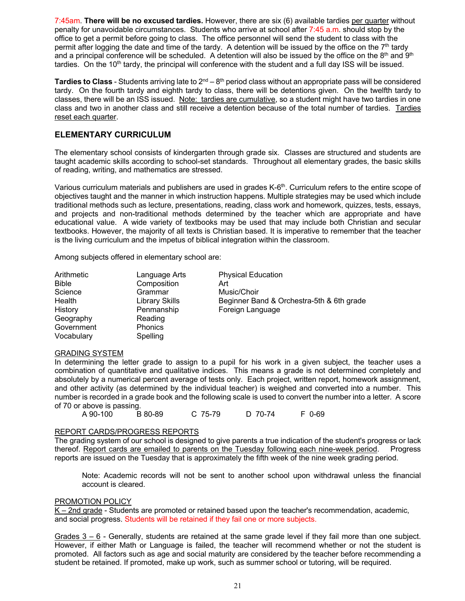7:45am. **There will be no excused tardies.** However, there are six (6) available tardies per quarter without penalty for unavoidable circumstances. Students who arrive at school after 7:45 a.m. should stop by the office to get a permit before going to class. The office personnel will send the student to class with the permit after logging the date and time of the tardy. A detention will be issued by the office on the  $7<sup>th</sup>$  tardy and a principal conference will be scheduled. A detention will also be issued by the office on the  $8<sup>th</sup>$  and  $9<sup>th</sup>$ tardies. On the  $10<sup>th</sup>$  tardy, the principal will conference with the student and a full day ISS will be issued.

**Tardies to Class** - Students arriving late to 2<sup>nd</sup> – 8<sup>th</sup> period class without an appropriate pass will be considered tardy. On the fourth tardy and eighth tardy to class, there will be detentions given. On the twelfth tardy to classes, there will be an ISS issued. Note: tardies are cumulative, so a student might have two tardies in one class and two in another class and still receive a detention because of the total number of tardies. Tardies reset each quarter.

## **ELEMENTARY CURRICULUM**

The elementary school consists of kindergarten through grade six. Classes are structured and students are taught academic skills according to school-set standards. Throughout all elementary grades, the basic skills of reading, writing, and mathematics are stressed.

Various curriculum materials and publishers are used in grades K-6<sup>th</sup>. Curriculum refers to the entire scope of objectives taught and the manner in which instruction happens. Multiple strategies may be used which include traditional methods such as lecture, presentations, reading, class work and homework, quizzes, tests, essays, and projects and non-traditional methods determined by the teacher which are appropriate and have educational value. A wide variety of textbooks may be used that may include both Christian and secular textbooks. However, the majority of all texts is Christian based. It is imperative to remember that the teacher is the living curriculum and the impetus of biblical integration within the classroom.

Among subjects offered in elementary school are:

| Arithmetic | Language Arts  | <b>Physical Education</b>                 |
|------------|----------------|-------------------------------------------|
| Bible      | Composition    | Art                                       |
| Science    | Grammar        | Music/Choir                               |
| Health     | Library Skills | Beginner Band & Orchestra-5th & 6th grade |
| History    | Penmanship     | Foreign Language                          |
| Geography  | Reading        |                                           |
| Government | Phonics        |                                           |
| Vocabulary | Spelling       |                                           |

#### GRADING SYSTEM

In determining the letter grade to assign to a pupil for his work in a given subject, the teacher uses a combination of quantitative and qualitative indices. This means a grade is not determined completely and absolutely by a numerical percent average of tests only. Each project, written report, homework assignment, and other activity (as determined by the individual teacher) is weighed and converted into a number. This number is recorded in a grade book and the following scale is used to convert the number into a letter. A score of 70 or above is passing.

A 90-100 B 80-89 C 75-79 D 70-74 F 0-69

#### REPORT CARDS/PROGRESS REPORTS

The grading system of our school is designed to give parents a true indication of the student's progress or lack thereof. Report cards are emailed to parents on the Tuesday following each nine-week period. Progress reports are issued on the Tuesday that is approximately the fifth week of the nine week grading period.

Note: Academic records will not be sent to another school upon withdrawal unless the financial account is cleared.

#### PROMOTION POLICY

K – 2nd grade - Students are promoted or retained based upon the teacher's recommendation, academic, and social progress. Students will be retained if they fail one or more subjects.

Grades 3 – 6 - Generally, students are retained at the same grade level if they fail more than one subject. However, if either Math or Language is failed, the teacher will recommend whether or not the student is promoted. All factors such as age and social maturity are considered by the teacher before recommending a student be retained. If promoted, make up work, such as summer school or tutoring, will be required.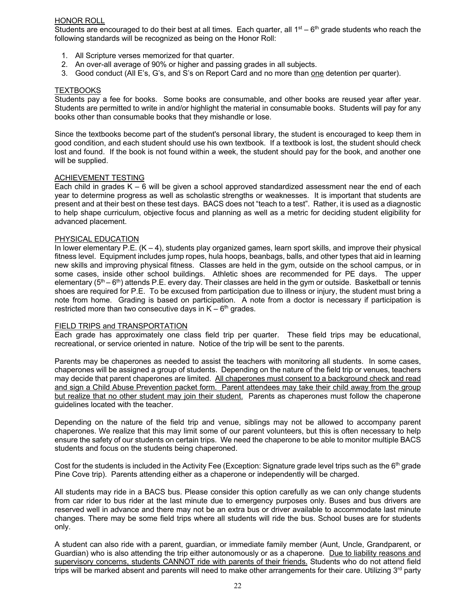#### HONOR ROLL

Students are encouraged to do their best at all times. Each quarter, all  $1<sup>st</sup> - 6<sup>th</sup>$  grade students who reach the following standards will be recognized as being on the Honor Roll:

- 1. All Scripture verses memorized for that quarter.
- 2. An over-all average of 90% or higher and passing grades in all subjects.
- 3. Good conduct (All E's, G's, and S's on Report Card and no more than one detention per quarter).

#### **TEXTBOOKS**

Students pay a fee for books. Some books are consumable, and other books are reused year after year. Students are permitted to write in and/or highlight the material in consumable books. Students will pay for any books other than consumable books that they mishandle or lose.

Since the textbooks become part of the student's personal library, the student is encouraged to keep them in good condition, and each student should use his own textbook. If a textbook is lost, the student should check lost and found. If the book is not found within a week, the student should pay for the book, and another one will be supplied.

#### ACHIEVEMENT TESTING

Each child in grades K – 6 will be given a school approved standardized assessment near the end of each year to determine progress as well as scholastic strengths or weaknesses. It is important that students are present and at their best on these test days. BACS does not "teach to a test". Rather, it is used as a diagnostic to help shape curriculum, objective focus and planning as well as a metric for deciding student eligibility for advanced placement.

#### PHYSICAL EDUCATION

In lower elementary P.E.  $(K - 4)$ , students play organized games, learn sport skills, and improve their physical fitness level. Equipment includes jump ropes, hula hoops, beanbags, balls, and other types that aid in learning new skills and improving physical fitness. Classes are held in the gym, outside on the school campus, or in some cases, inside other school buildings. Athletic shoes are recommended for PE days. The upper elementary ( $5<sup>th</sup> - 6<sup>th</sup>$ ) attends P.E. every day. Their classes are held in the gym or outside. Basketball or tennis shoes are required for P.E. To be excused from participation due to illness or injury, the student must bring a note from home. Grading is based on participation. A note from a doctor is necessary if participation is restricted more than two consecutive days in  $K - 6<sup>th</sup>$  grades.

#### FIELD TRIPS and TRANSPORTATION

Each grade has approximately one class field trip per quarter. These field trips may be educational, recreational, or service oriented in nature. Notice of the trip will be sent to the parents.

Parents may be chaperones as needed to assist the teachers with monitoring all students. In some cases, chaperones will be assigned a group of students. Depending on the nature of the field trip or venues, teachers may decide that parent chaperones are limited. All chaperones must consent to a background check and read and sign a Child Abuse Prevention packet form. Parent attendees may take their child away from the group but realize that no other student may join their student. Parents as chaperones must follow the chaperone guidelines located with the teacher.

Depending on the nature of the field trip and venue, siblings may not be allowed to accompany parent chaperones. We realize that this may limit some of our parent volunteers, but this is often necessary to help ensure the safety of our students on certain trips. We need the chaperone to be able to monitor multiple BACS students and focus on the students being chaperoned.

Cost for the students is included in the Activity Fee (Exception: Signature grade level trips such as the  $6<sup>th</sup>$  grade Pine Cove trip). Parents attending either as a chaperone or independently will be charged.

All students may ride in a BACS bus. Please consider this option carefully as we can only change students from car rider to bus rider at the last minute due to emergency purposes only. Buses and bus drivers are reserved well in advance and there may not be an extra bus or driver available to accommodate last minute changes. There may be some field trips where all students will ride the bus. School buses are for students only.

A student can also ride with a parent, guardian, or immediate family member (Aunt, Uncle, Grandparent, or Guardian) who is also attending the trip either autonomously or as a chaperone. Due to liability reasons and supervisory concerns, students CANNOT ride with parents of their friends. Students who do not attend field trips will be marked absent and parents will need to make other arrangements for their care. Utilizing  $3<sup>rd</sup>$  party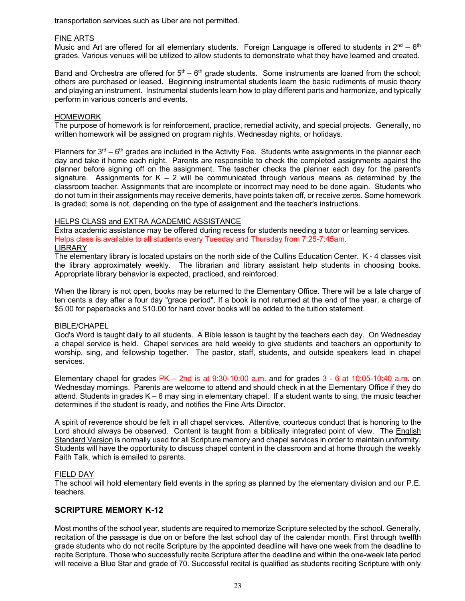transportation services such as Uber are not permitted.

#### FINE ARTS

Music and Art are offered for all elementary students. Foreign Language is offered to students in  $2^{nd} - 6^{th}$ grades. Various venues will be utilized to allow students to demonstrate what they have learned and created.

Band and Orchestra are offered for  $5<sup>th</sup> - 6<sup>th</sup>$  grade students. Some instruments are loaned from the school; others are purchased or leased. Beginning instrumental students learn the basic rudiments of music theory and playing an instrument. Instrumental students learn how to play different parts and harmonize, and typically perform in various concerts and events.

#### **HOMEWORK**

The purpose of homework is for reinforcement, practice, remedial activity, and special projects. Generally, no written homework will be assigned on program nights, Wednesday nights, or holidays.

Planners for  $3<sup>rd</sup> - 6<sup>th</sup>$  grades are included in the Activity Fee. Students write assignments in the planner each day and take it home each night. Parents are responsible to check the completed assignments against the planner before signing off on the assignment. The teacher checks the planner each day for the parent's signature. Assignments for  $K - 2$  will be communicated through various means as determined by the classroom teacher. Assignments that are incomplete or incorrect may need to be done again. Students who do not turn in their assignments may receive demerits, have points taken off, or receive zeros. Some homework is graded; some is not, depending on the type of assignment and the teacher's instructions.

#### HELPS CLASS and EXTRA ACADEMIC ASSISTANCE

Extra academic assistance may be offered during recess for students needing a tutor or learning services. Helps class is available to all students every Tuesday and Thursday from 7:25-7:45am. **LIBRARY** 

The elementary library is located upstairs on the north side of the Cullins Education Center. K - 4 classes visit the library approximately weekly. The librarian and library assistant help students in choosing books. Appropriate library behavior is expected, practiced, and reinforced.

When the library is not open, books may be returned to the Elementary Office. There will be a late charge of ten cents a day after a four day "grace period". If a book is not returned at the end of the year, a charge of \$5.00 for paperbacks and \$10.00 for hard cover books will be added to the tuition statement.

#### BIBLE/CHAPEL

God's Word is taught daily to all students. A Bible lesson is taught by the teachers each day. On Wednesday a chapel service is held. Chapel services are held weekly to give students and teachers an opportunity to worship, sing, and fellowship together. The pastor, staff, students, and outside speakers lead in chapel services.

Elementary chapel for grades  $PK - 2$ nd is at 9:30-10:00 a.m. and for grades  $3 - 6$  at 10:05-10:40 a.m. on Wednesday mornings. Parents are welcome to attend and should check in at the Elementary Office if they do attend. Students in grades K – 6 may sing in elementary chapel. If a student wants to sing, the music teacher determines if the student is ready, and notifies the Fine Arts Director.

A spirit of reverence should be felt in all chapel services. Attentive, courteous conduct that is honoring to the Lord should always be observed. Content is taught from a biblically integrated point of view. The English Standard Version is normally used for all Scripture memory and chapel services in order to maintain uniformity. Students will have the opportunity to discuss chapel content in the classroom and at home through the weekly Faith Talk, which is emailed to parents.

#### FIELD DAY

The school will hold elementary field events in the spring as planned by the elementary division and our P.E. teachers.

#### **SCRIPTURE MEMORY K-12**

Most months of the school year, students are required to memorize Scripture selected by the school. Generally, recitation of the passage is due on or before the last school day of the calendar month. First through twelfth grade students who do not recite Scripture by the appointed deadline will have one week from the deadline to recite Scripture. Those who successfully recite Scripture after the deadline and within the one-week late period will receive a Blue Star and grade of 70. Successful recital is qualified as students reciting Scripture with only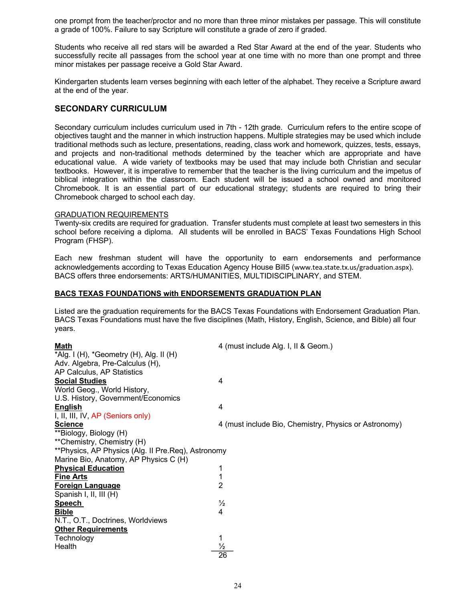one prompt from the teacher/proctor and no more than three minor mistakes per passage. This will constitute a grade of 100%. Failure to say Scripture will constitute a grade of zero if graded.

Students who receive all red stars will be awarded a Red Star Award at the end of the year. Students who successfully recite all passages from the school year at one time with no more than one prompt and three minor mistakes per passage receive a Gold Star Award.

Kindergarten students learn verses beginning with each letter of the alphabet. They receive a Scripture award at the end of the year.

## **SECONDARY CURRICULUM**

Secondary curriculum includes curriculum used in 7th - 12th grade. Curriculum refers to the entire scope of objectives taught and the manner in which instruction happens. Multiple strategies may be used which include traditional methods such as lecture, presentations, reading, class work and homework, quizzes, tests, essays, and projects and non-traditional methods determined by the teacher which are appropriate and have educational value. A wide variety of textbooks may be used that may include both Christian and secular textbooks. However, it is imperative to remember that the teacher is the living curriculum and the impetus of biblical integration within the classroom. Each student will be issued a school owned and monitored Chromebook. It is an essential part of our educational strategy; students are required to bring their Chromebook charged to school each day.

#### GRADUATION REQUIREMENTS

Twenty-six credits are required for graduation. Transfer students must complete at least two semesters in this school before receiving a diploma. All students will be enrolled in BACS' Texas Foundations High School Program (FHSP).

Each new freshman student will have the opportunity to earn endorsements and performance acknowledgements according to Texas Education Agency House Bill5 (www.tea.state.tx.us/graduation.aspx). BACS offers three endorsements: ARTS/HUMANITIES, MULTIDISCIPLINARY, and STEM.

#### **BACS TEXAS FOUNDATIONS with ENDORSEMENTS GRADUATION PLAN**

Listed are the graduation requirements for the BACS Texas Foundations with Endorsement Graduation Plan. BACS Texas Foundations must have the five disciplines (Math, History, English, Science, and Bible) all four years.

| <u>Math</u>                                        | 4 (must include Alg. I, II & Geom.)                   |
|----------------------------------------------------|-------------------------------------------------------|
| *Alg. I (H), *Geometry (H), Alg. II (H)            |                                                       |
| Adv. Algebra, Pre-Calculus (H),                    |                                                       |
| AP Calculus, AP Statistics                         |                                                       |
| <b>Social Studies</b>                              | 4                                                     |
| World Geog., World History,                        |                                                       |
| U.S. History, Government/Economics                 |                                                       |
| <b>English</b>                                     | 4                                                     |
| I, II, III, IV, AP (Seniors only)                  |                                                       |
| <b>Science</b>                                     | 4 (must include Bio, Chemistry, Physics or Astronomy) |
| **Biology, Biology (H)                             |                                                       |
| **Chemistry, Chemistry (H)                         |                                                       |
| **Physics, AP Physics (Alg. II Pre.Req), Astronomy |                                                       |
| Marine Bio, Anatomy, AP Physics C (H)              |                                                       |
| <b>Physical Education</b>                          |                                                       |
| <u>Fine Arts</u>                                   |                                                       |
| <u>Foreign Language</u>                            | 2                                                     |
| Spanish I, II, III (H)                             |                                                       |
| <b>Speech</b>                                      | $\frac{1}{2}$                                         |
| <b>Bible</b>                                       | 4                                                     |
| N.T., O.T., Doctrines, Worldviews                  |                                                       |
| <b>Other Requirements</b>                          |                                                       |
| Technology                                         | 1                                                     |
| Health                                             |                                                       |
|                                                    | $\overline{26}$                                       |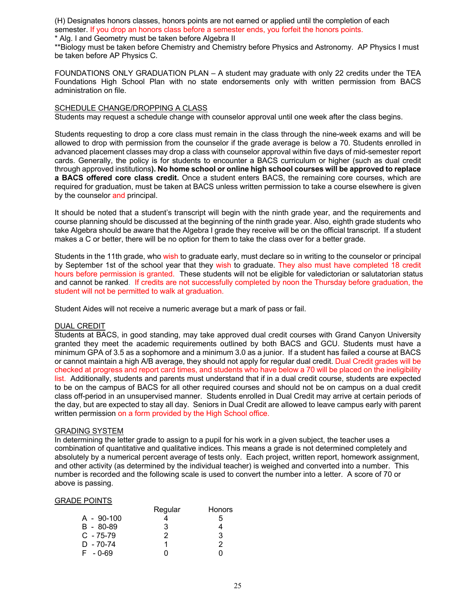(H) Designates honors classes, honors points are not earned or applied until the completion of each semester. If you drop an honors class before a semester ends, you forfeit the honors points.

\* Alg. I and Geometry must be taken before Algebra II

\*\*Biology must be taken before Chemistry and Chemistry before Physics and Astronomy. AP Physics I must be taken before AP Physics C.

FOUNDATIONS ONLY GRADUATION PLAN – A student may graduate with only 22 credits under the TEA Foundations High School Plan with no state endorsements only with written permission from BACS administration on file.

#### SCHEDULE CHANGE/DROPPING A CLASS

Students may request a schedule change with counselor approval until one week after the class begins.

Students requesting to drop a core class must remain in the class through the nine-week exams and will be allowed to drop with permission from the counselor if the grade average is below a 70. Students enrolled in advanced placement classes may drop a class with counselor approval within five days of mid-semester report cards. Generally, the policy is for students to encounter a BACS curriculum or higher (such as dual credit through approved institutions**). No home school or online high school courses will be approved to replace a BACS offered core class credit.** Once a student enters BACS, the remaining core courses, which are required for graduation, must be taken at BACS unless written permission to take a course elsewhere is given by the counselor and principal.

It should be noted that a student's transcript will begin with the ninth grade year, and the requirements and course planning should be discussed at the beginning of the ninth grade year. Also, eighth grade students who take Algebra should be aware that the Algebra I grade they receive will be on the official transcript. If a student makes a C or better, there will be no option for them to take the class over for a better grade.

Students in the 11th grade, who wish to graduate early, must declare so in writing to the counselor or principal by September 1st of the school year that they wish to graduate. They also must have completed 18 credit hours before permission is granted. These students will not be eligible for valedictorian or salutatorian status and cannot be ranked. If credits are not successfully completed by noon the Thursday before graduation, the student will not be permitted to walk at graduation.

Student Aides will not receive a numeric average but a mark of pass or fail.

#### DUAL CREDIT

Students at BACS, in good standing, may take approved dual credit courses with Grand Canyon University granted they meet the academic requirements outlined by both BACS and GCU. Students must have a minimum GPA of 3.5 as a sophomore and a minimum 3.0 as a junior. If a student has failed a course at BACS or cannot maintain a high A/B average, they should not apply for regular dual credit. Dual Credit grades will be checked at progress and report card times, and students who have below a 70 will be placed on the ineligibility list. Additionally, students and parents must understand that if in a dual credit course, students are expected to be on the campus of BACS for all other required courses and should not be on campus on a dual credit class off-period in an unsupervised manner. Students enrolled in Dual Credit may arrive at certain periods of the day, but are expected to stay all day. Seniors in Dual Credit are allowed to leave campus early with parent written permission on a form provided by the High School office.

#### GRADING SYSTEM

In determining the letter grade to assign to a pupil for his work in a given subject, the teacher uses a combination of quantitative and qualitative indices. This means a grade is not determined completely and absolutely by a numerical percent average of tests only. Each project, written report, homework assignment, and other activity (as determined by the individual teacher) is weighed and converted into a number. This number is recorded and the following scale is used to convert the number into a letter. A score of 70 or above is passing.

#### GRADE POINTS

|               | Regular | <b>Honors</b> |
|---------------|---------|---------------|
| $A - 90-100$  |         | 5             |
| $B - 80 - 89$ | 3       |               |
| $C - 75-79$   | 2       | 3             |
| $D - 70 - 74$ |         | 2             |
| F - 0-69      |         |               |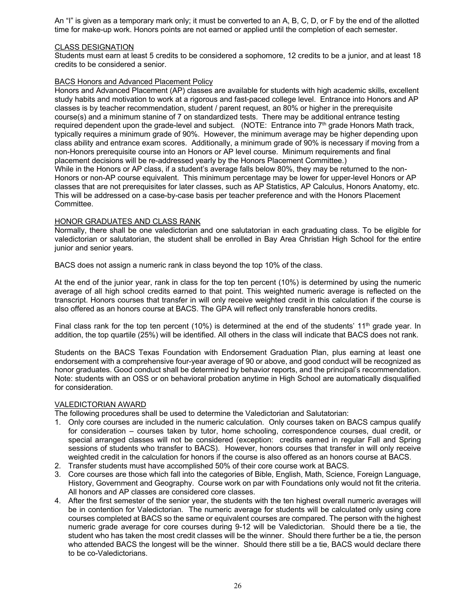An "I" is given as a temporary mark only; it must be converted to an A, B, C, D, or F by the end of the allotted time for make-up work. Honors points are not earned or applied until the completion of each semester.

#### CLASS DESIGNATION

Students must earn at least 5 credits to be considered a sophomore, 12 credits to be a junior, and at least 18 credits to be considered a senior.

## BACS Honors and Advanced Placement Policy

Honors and Advanced Placement (AP) classes are available for students with high academic skills, excellent study habits and motivation to work at a rigorous and fast-paced college level. Entrance into Honors and AP classes is by teacher recommendation, student / parent request, an 80% or higher in the prerequisite course(s) and a minimum stanine of 7 on standardized tests. There may be additional entrance testing required dependent upon the grade-level and subject. (NOTE: Entrance into 7<sup>th</sup> grade Honors Math track, typically requires a minimum grade of 90%. However, the minimum average may be higher depending upon class ability and entrance exam scores. Additionally, a minimum grade of 90% is necessary if moving from a non-Honors prerequisite course into an Honors or AP level course. Minimum requirements and final placement decisions will be re-addressed yearly by the Honors Placement Committee.) While in the Honors or AP class, if a student's average falls below 80%, they may be returned to the non-

Honors or non-AP course equivalent. This minimum percentage may be lower for upper-level Honors or AP classes that are not prerequisites for later classes, such as AP Statistics, AP Calculus, Honors Anatomy, etc. This will be addressed on a case-by-case basis per teacher preference and with the Honors Placement Committee.

#### HONOR GRADUATES AND CLASS RANK

Normally, there shall be one valedictorian and one salutatorian in each graduating class. To be eligible for valedictorian or salutatorian, the student shall be enrolled in Bay Area Christian High School for the entire junior and senior years.

BACS does not assign a numeric rank in class beyond the top 10% of the class.

At the end of the junior year, rank in class for the top ten percent (10%) is determined by using the numeric average of all high school credits earned to that point. This weighted numeric average is reflected on the transcript. Honors courses that transfer in will only receive weighted credit in this calculation if the course is also offered as an honors course at BACS. The GPA will reflect only transferable honors credits.

Final class rank for the top ten percent (10%) is determined at the end of the students' 11<sup>th</sup> grade year. In addition, the top quartile (25%) will be identified. All others in the class will indicate that BACS does not rank.

Students on the BACS Texas Foundation with Endorsement Graduation Plan, plus earning at least one endorsement with a comprehensive four-year average of 90 or above, and good conduct will be recognized as honor graduates. Good conduct shall be determined by behavior reports, and the principal's recommendation. Note: students with an OSS or on behavioral probation anytime in High School are automatically disqualified for consideration.

## VALEDICTORIAN AWARD

The following procedures shall be used to determine the Valedictorian and Salutatorian:

- 1. Only core courses are included in the numeric calculation. Only courses taken on BACS campus qualify for consideration – courses taken by tutor, home schooling, correspondence courses, dual credit, or special arranged classes will not be considered (exception: credits earned in regular Fall and Spring sessions of students who transfer to BACS). However, honors courses that transfer in will only receive weighted credit in the calculation for honors if the course is also offered as an honors course at BACS.
- 2. Transfer students must have accomplished 50% of their core course work at BACS.
- 3. Core courses are those which fall into the categories of Bible, English, Math, Science, Foreign Language, History, Government and Geography. Course work on par with Foundations only would not fit the criteria. All honors and AP classes are considered core classes.
- 4. After the first semester of the senior year, the students with the ten highest overall numeric averages will be in contention for Valedictorian. The numeric average for students will be calculated only using core courses completed at BACS so the same or equivalent courses are compared. The person with the highest numeric grade average for core courses during 9-12 will be Valedictorian. Should there be a tie, the student who has taken the most credit classes will be the winner. Should there further be a tie, the person who attended BACS the longest will be the winner. Should there still be a tie, BACS would declare there to be co-Valedictorians.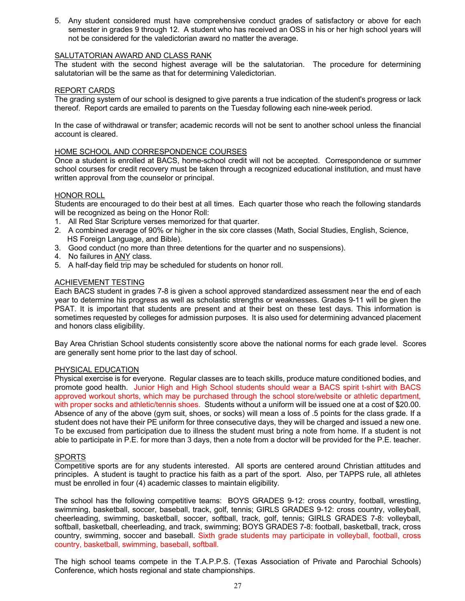5. Any student considered must have comprehensive conduct grades of satisfactory or above for each semester in grades 9 through 12. A student who has received an OSS in his or her high school years will not be considered for the valedictorian award no matter the average.

#### SALUTATORIAN AWARD AND CLASS RANK

The student with the second highest average will be the salutatorian. The procedure for determining salutatorian will be the same as that for determining Valedictorian.

#### REPORT CARDS

The grading system of our school is designed to give parents a true indication of the student's progress or lack thereof. Report cards are emailed to parents on the Tuesday following each nine-week period.

In the case of withdrawal or transfer; academic records will not be sent to another school unless the financial account is cleared.

#### HOME SCHOOL AND CORRESPONDENCE COURSES

Once a student is enrolled at BACS, home-school credit will not be accepted. Correspondence or summer school courses for credit recovery must be taken through a recognized educational institution, and must have written approval from the counselor or principal.

#### HONOR ROLL

Students are encouraged to do their best at all times. Each quarter those who reach the following standards will be recognized as being on the Honor Roll:

- 1. All Red Star Scripture verses memorized for that quarter.
- 2. A combined average of 90% or higher in the six core classes (Math, Social Studies, English, Science, HS Foreign Language, and Bible).
- 3. Good conduct (no more than three detentions for the quarter and no suspensions).
- 4. No failures in ANY class.
- 5. A half-day field trip may be scheduled for students on honor roll.

#### ACHIEVEMENT TESTING

Each BACS student in grades 7-8 is given a school approved standardized assessment near the end of each year to determine his progress as well as scholastic strengths or weaknesses. Grades 9-11 will be given the PSAT. It is important that students are present and at their best on these test days. This information is sometimes requested by colleges for admission purposes. It is also used for determining advanced placement and honors class eligibility.

Bay Area Christian School students consistently score above the national norms for each grade level. Scores are generally sent home prior to the last day of school.

#### PHYSICAL EDUCATION

Physical exercise is for everyone. Regular classes are to teach skills, produce mature conditioned bodies, and promote good health. Junior High and High School students should wear a BACS spirit t-shirt with BACS approved workout shorts, which may be purchased through the school store/website or athletic department, with proper socks and athletic/tennis shoes. Students without a uniform will be issued one at a cost of \$20.00. Absence of any of the above (gym suit, shoes, or socks) will mean a loss of .5 points for the class grade. If a student does not have their PE uniform for three consecutive days, they will be charged and issued a new one. To be excused from participation due to illness the student must bring a note from home. If a student is not able to participate in P.E. for more than 3 days, then a note from a doctor will be provided for the P.E. teacher.

#### SPORTS

Competitive sports are for any students interested. All sports are centered around Christian attitudes and principles. A student is taught to practice his faith as a part of the sport. Also, per TAPPS rule, all athletes must be enrolled in four (4) academic classes to maintain eligibility.

The school has the following competitive teams: BOYS GRADES 9-12: cross country, football, wrestling, swimming, basketball, soccer, baseball, track, golf, tennis; GIRLS GRADES 9-12: cross country, volleyball, cheerleading, swimming, basketball, soccer, softball, track, golf, tennis; GIRLS GRADES 7-8: volleyball, softball, basketball, cheerleading, and track, swimming; BOYS GRADES 7-8: football, basketball, track, cross country, swimming, soccer and baseball. Sixth grade students may participate in volleyball, football, cross country, basketball, swimming, baseball, softball.

The high school teams compete in the T.A.P.P.S. (Texas Association of Private and Parochial Schools) Conference, which hosts regional and state championships.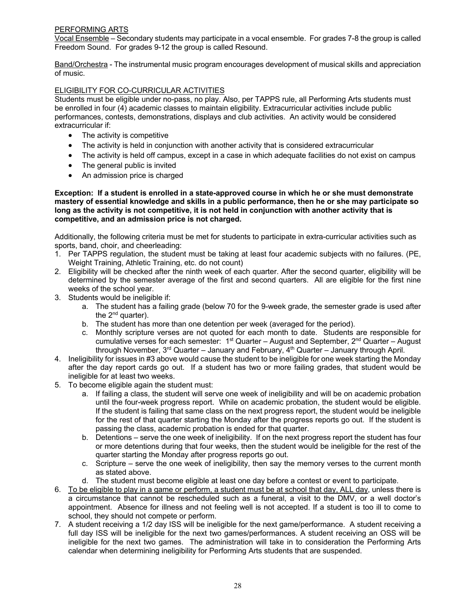## PERFORMING ARTS

Vocal Ensemble – Secondary students may participate in a vocal ensemble. For grades 7-8 the group is called Freedom Sound. For grades 9-12 the group is called Resound.

Band/Orchestra - The instrumental music program encourages development of musical skills and appreciation of music.

#### ELIGIBILITY FOR CO-CURRICULAR ACTIVITIES

Students must be eligible under no-pass, no play. Also, per TAPPS rule, all Performing Arts students must be enrolled in four (4) academic classes to maintain eligibility. Extracurricular activities include public performances, contests, demonstrations, displays and club activities. An activity would be considered extracurricular if:

- The activity is competitive
- The activity is held in conjunction with another activity that is considered extracurricular
- The activity is held off campus, except in a case in which adequate facilities do not exist on campus
- The general public is invited
- An admission price is charged

**Exception: If a student is enrolled in a state-approved course in which he or she must demonstrate mastery of essential knowledge and skills in a public performance, then he or she may participate so long as the activity is not competitive, it is not held in conjunction with another activity that is competitive, and an admission price is not charged.**

Additionally, the following criteria must be met for students to participate in extra-curricular activities such as sports, band, choir, and cheerleading:

- 1. Per TAPPS regulation, the student must be taking at least four academic subjects with no failures. (PE, Weight Training, Athletic Training, etc. do not count)
- 2. Eligibility will be checked after the ninth week of each quarter. After the second quarter, eligibility will be determined by the semester average of the first and second quarters. All are eligible for the first nine weeks of the school year.
- 3. Students would be ineligible if:
	- a. The student has a failing grade (below 70 for the 9-week grade, the semester grade is used after the  $2^{nd}$  quarter).
	- b. The student has more than one detention per week (averaged for the period).
	- c. Monthly scripture verses are not quoted for each month to date. Students are responsible for cumulative verses for each semester:  $1<sup>st</sup>$  Quarter – August and September,  $2<sup>nd</sup>$  Quarter – August through November,  $3<sup>rd</sup>$  Quarter – January and February,  $4<sup>th</sup>$  Quarter – January through April.
- 4. Ineligibility for issues in #3 above would cause the student to be ineligible for one week starting the Monday after the day report cards go out. If a student has two or more failing grades, that student would be ineligible for at least two weeks.
- 5. To become eligible again the student must:
	- a. If failing a class, the student will serve one week of ineligibility and will be on academic probation until the four-week progress report. While on academic probation, the student would be eligible. If the student is failing that same class on the next progress report, the student would be ineligible for the rest of that quarter starting the Monday after the progress reports go out. If the student is passing the class, academic probation is ended for that quarter.
	- b. Detentions serve the one week of ineligibility. If on the next progress report the student has four or more detentions during that four weeks, then the student would be ineligible for the rest of the quarter starting the Monday after progress reports go out.
	- c. Scripture serve the one week of ineligibility, then say the memory verses to the current month as stated above.
	- d. The student must become eligible at least one day before a contest or event to participate.
- 6. To be eligible to play in a game or perform, a student must be at school that day, ALL day, unless there is a circumstance that cannot be rescheduled such as a funeral, a visit to the DMV, or a well doctor's appointment. Absence for illness and not feeling well is not accepted. If a student is too ill to come to school, they should not compete or perform.
- 7. A student receiving a 1/2 day ISS will be ineligible for the next game/performance. A student receiving a full day ISS will be ineligible for the next two games/performances. A student receiving an OSS will be ineligible for the next two games. The administration will take in to consideration the Performing Arts calendar when determining ineligibility for Performing Arts students that are suspended.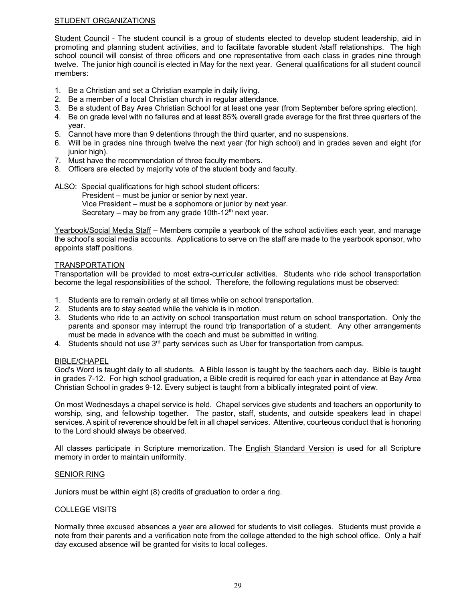## STUDENT ORGANIZATIONS

Student Council - The student council is a group of students elected to develop student leadership, aid in promoting and planning student activities, and to facilitate favorable student /staff relationships. The high school council will consist of three officers and one representative from each class in grades nine through twelve. The junior high council is elected in May for the next year. General qualifications for all student council members:

- 1. Be a Christian and set a Christian example in daily living.
- 2. Be a member of a local Christian church in regular attendance.
- 3. Be a student of Bay Area Christian School for at least one year (from September before spring election).
- 4. Be on grade level with no failures and at least 85% overall grade average for the first three quarters of the year.
- 5. Cannot have more than 9 detentions through the third quarter, and no suspensions.
- 6. Will be in grades nine through twelve the next year (for high school) and in grades seven and eight (for junior high).
- 7. Must have the recommendation of three faculty members.
- 8. Officers are elected by majority vote of the student body and faculty.

ALSO: Special qualifications for high school student officers: President – must be junior or senior by next year. Vice President – must be a sophomore or junior by next year. Secretary – may be from any grade 10th-12<sup>th</sup> next year.

Yearbook/Social Media Staff – Members compile a yearbook of the school activities each year, and manage the school's social media accounts. Applications to serve on the staff are made to the yearbook sponsor, who appoints staff positions.

#### **TRANSPORTATION**

Transportation will be provided to most extra-curricular activities. Students who ride school transportation become the legal responsibilities of the school. Therefore, the following regulations must be observed:

- 1. Students are to remain orderly at all times while on school transportation.
- 2. Students are to stay seated while the vehicle is in motion.
- 3. Students who ride to an activity on school transportation must return on school transportation. Only the parents and sponsor may interrupt the round trip transportation of a student. Any other arrangements must be made in advance with the coach and must be submitted in writing.
- 4. Students should not use 3<sup>rd</sup> party services such as Uber for transportation from campus.

#### BIBLE/CHAPEL

God's Word is taught daily to all students. A Bible lesson is taught by the teachers each day. Bible is taught in grades 7-12. For high school graduation, a Bible credit is required for each year in attendance at Bay Area Christian School in grades 9-12. Every subject is taught from a biblically integrated point of view.

On most Wednesdays a chapel service is held. Chapel services give students and teachers an opportunity to worship, sing, and fellowship together. The pastor, staff, students, and outside speakers lead in chapel services. A spirit of reverence should be felt in all chapel services. Attentive, courteous conduct that is honoring to the Lord should always be observed.

All classes participate in Scripture memorization. The English Standard Version is used for all Scripture memory in order to maintain uniformity.

#### SENIOR RING

Juniors must be within eight (8) credits of graduation to order a ring.

#### COLLEGE VISITS

Normally three excused absences a year are allowed for students to visit colleges. Students must provide a note from their parents and a verification note from the college attended to the high school office. Only a half day excused absence will be granted for visits to local colleges.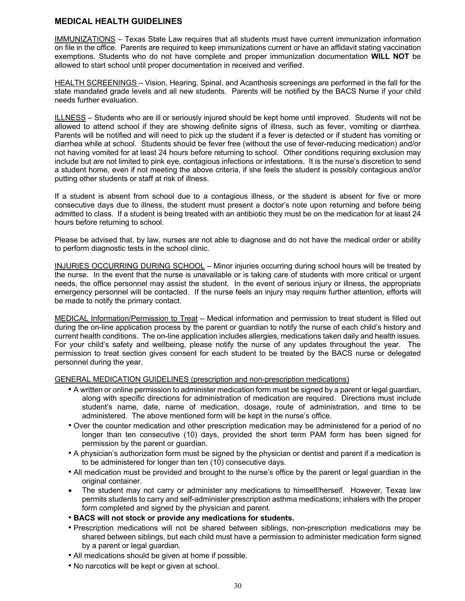## **MEDICAL HEALTH GUIDELINES**

IMMUNIZATIONS – Texas State Law requires that all students must have current immunization information on file in the office. Parents are required to keep immunizations current or have an affidavit stating vaccination exemptions. Students who do not have complete and proper immunization documentation **WILL NOT** be allowed to start school until proper documentation in received and verified.

HEALTH SCREENINGS – Vision, Hearing, Spinal, and Acanthosis screenings are performed in the fall for the state mandated grade levels and all new students. Parents will be notified by the BACS Nurse if your child needs further evaluation.

ILLNESS – Students who are ill or seriously injured should be kept home until improved. Students will not be allowed to attend school if they are showing definite signs of illness, such as fever, vomiting or diarrhea. Parents will be notified and will need to pick up the student if a fever is detected or if student has vomiting or diarrhea while at school. Students should be fever free (without the use of fever-reducing medication) and/or not having vomited for at least 24 hours before returning to school. Other conditions requiring exclusion may include but are not limited to pink eye, contagious infections or infestations. It is the nurse's discretion to send a student home, even if not meeting the above criteria, if she feels the student is possibly contagious and/or putting other students or staff at risk of illness.

If a student is absent from school due to a contagious illness, or the student is absent for five or more consecutive days due to illness, the student must present a doctor's note upon returning and before being admitted to class. If a student is being treated with an antibiotic they must be on the medication for at least 24 hours before returning to school.

Please be advised that, by law, nurses are not able to diagnose and do not have the medical order or ability to perform diagnostic tests in the school clinic.

INJURIES OCCURRING DURING SCHOOL – Minor injuries occurring during school hours will be treated by the nurse. In the event that the nurse is unavailable or is taking care of students with more critical or urgent needs, the office personnel may assist the student. In the event of serious injury or illness, the appropriate emergency personnel will be contacted. If the nurse feels an injury may require further attention, efforts will be made to notify the primary contact.

MEDICAL Information/Permission to Treat – Medical information and permission to treat student is filled out during the on-line application process by the parent or guardian to notify the nurse of each child's history and current health conditions. The on-line application includes allergies, medications taken daily and health issues. For your child's safety and wellbeing, please notify the nurse of any updates throughout the year. The permission to treat section gives consent for each student to be treated by the BACS nurse or delegated personnel during the year.

#### GENERAL MEDICATION GUIDELINES (prescription and non-prescription medications)

- A written or online permission to administer medication form must be signed by a parent or legal guardian, along with specific directions for administration of medication are required. Directions must include student's name, date, name of medication, dosage, route of administration, and time to be administered. The above mentioned form will be kept in the nurse's office.
- Over the counter medication and other prescription medication may be administered for a period of no longer than ten consecutive (10) days, provided the short term PAM form has been signed for permission by the parent or guardian.
- A physician's authorization form must be signed by the physician or dentist and parent if a medication is to be administered for longer than ten (10) consecutive days.
- All medication must be provided and brought to the nurse's office by the parent or legal guardian in the original container.
- The student may not carry or administer any medications to himself/herself. However, Texas law permits students to carry and self-administer prescription asthma medications; inhalers with the proper form completed and signed by the physician and parent.
- **BACS will not stock or provide any medications for students.**
- Prescription medications will not be shared between siblings, non-prescription medications may be shared between siblings, but each child must have a permission to administer medication form signed by a parent or legal guardian.
- All medications should be given at home if possible.
- No narcotics will be kept or given at school.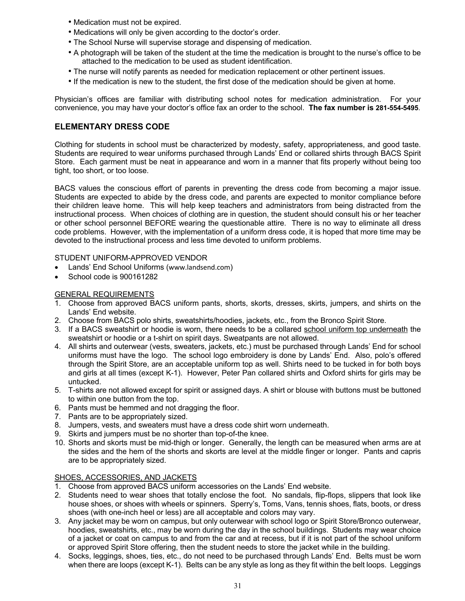- Medication must not be expired.
- Medications will only be given according to the doctor's order.
- The School Nurse will supervise storage and dispensing of medication.
- A photograph will be taken of the student at the time the medication is brought to the nurse's office to be attached to the medication to be used as student identification.
- The nurse will notify parents as needed for medication replacement or other pertinent issues.
- If the medication is new to the student, the first dose of the medication should be given at home.

Physician's offices are familiar with distributing school notes for medication administration. For your convenience, you may have your doctor's office fax an order to the school. **The fax number is 281-554-5495**.

## **ELEMENTARY DRESS CODE**

Clothing for students in school must be characterized by modesty, safety, appropriateness, and good taste. Students are required to wear uniforms purchased through Lands' End or collared shirts through BACS Spirit Store. Each garment must be neat in appearance and worn in a manner that fits properly without being too tight, too short, or too loose.

BACS values the conscious effort of parents in preventing the dress code from becoming a major issue. Students are expected to abide by the dress code, and parents are expected to monitor compliance before their children leave home. This will help keep teachers and administrators from being distracted from the instructional process. When choices of clothing are in question, the student should consult his or her teacher or other school personnel BEFORE wearing the questionable attire. There is no way to eliminate all dress code problems. However, with the implementation of a uniform dress code, it is hoped that more time may be devoted to the instructional process and less time devoted to uniform problems.

#### STUDENT UNIFORM-APPROVED VENDOR

- Lands' End School Uniforms (www.landsend.com)
- School code is 900161282

#### GENERAL REQUIREMENTS

- 1. Choose from approved BACS uniform pants, shorts, skorts, dresses, skirts, jumpers, and shirts on the Lands' End website.
- 2. Choose from BACS polo shirts, sweatshirts/hoodies, jackets, etc., from the Bronco Spirit Store.
- 3. If a BACS sweatshirt or hoodie is worn, there needs to be a collared school uniform top underneath the sweatshirt or hoodie or a t-shirt on spirit days. Sweatpants are not allowed.
- 4. All shirts and outerwear (vests, sweaters, jackets, etc.) must be purchased through Lands' End for school uniforms must have the logo. The school logo embroidery is done by Lands' End. Also, polo's offered through the Spirit Store, are an acceptable uniform top as well. Shirts need to be tucked in for both boys and girls at all times (except K-1). However, Peter Pan collared shirts and Oxford shirts for girls may be untucked.
- 5. T-shirts are not allowed except for spirit or assigned days. A shirt or blouse with buttons must be buttoned to within one button from the top.
- 6. Pants must be hemmed and not dragging the floor.
- 7. Pants are to be appropriately sized.
- 8. Jumpers, vests, and sweaters must have a dress code shirt worn underneath.
- 9. Skirts and jumpers must be no shorter than top-of-the knee.
- 10. Shorts and skorts must be mid-thigh or longer. Generally, the length can be measured when arms are at the sides and the hem of the shorts and skorts are level at the middle finger or longer. Pants and capris are to be appropriately sized.

#### SHOES, ACCESSORIES, AND JACKETS

- 1. Choose from approved BACS uniform accessories on the Lands' End website.
- 2. Students need to wear shoes that totally enclose the foot. No sandals, flip-flops, slippers that look like house shoes, or shoes with wheels or spinners. Sperry's, Toms, Vans, tennis shoes, flats, boots, or dress shoes (with one-inch heel or less) are all acceptable and colors may vary.
- 3. Any jacket may be worn on campus, but only outerwear with school logo or Spirit Store/Bronco outerwear, hoodies, sweatshirts, etc., may be worn during the day in the school buildings. Students may wear choice of a jacket or coat on campus to and from the car and at recess, but if it is not part of the school uniform or approved Spirit Store offering, then the student needs to store the jacket while in the building.
- 4. Socks, leggings, shoes, ties, etc., do not need to be purchased through Lands' End. Belts must be worn when there are loops (except K-1). Belts can be any style as long as they fit within the belt loops. Leggings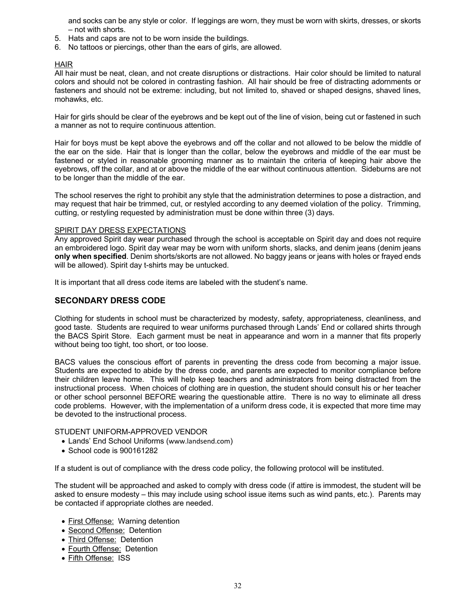and socks can be any style or color. If leggings are worn, they must be worn with skirts, dresses, or skorts – not with shorts.

- 5. Hats and caps are not to be worn inside the buildings.
- 6. No tattoos or piercings, other than the ears of girls, are allowed.

#### HAIR

All hair must be neat, clean, and not create disruptions or distractions. Hair color should be limited to natural colors and should not be colored in contrasting fashion. All hair should be free of distracting adornments or fasteners and should not be extreme: including, but not limited to, shaved or shaped designs, shaved lines, mohawks, etc.

Hair for girls should be clear of the eyebrows and be kept out of the line of vision, being cut or fastened in such a manner as not to require continuous attention.

Hair for boys must be kept above the eyebrows and off the collar and not allowed to be below the middle of the ear on the side. Hair that is longer than the collar, below the eyebrows and middle of the ear must be fastened or styled in reasonable grooming manner as to maintain the criteria of keeping hair above the eyebrows, off the collar, and at or above the middle of the ear without continuous attention. Sideburns are not to be longer than the middle of the ear.

The school reserves the right to prohibit any style that the administration determines to pose a distraction, and may request that hair be trimmed, cut, or restyled according to any deemed violation of the policy. Trimming, cutting, or restyling requested by administration must be done within three (3) days.

#### SPIRIT DAY DRESS EXPECTATIONS

Any approved Spirit day wear purchased through the school is acceptable on Spirit day and does not require an embroidered logo. Spirit day wear may be worn with uniform shorts, slacks, and denim jeans (denim jeans **only when specified**. Denim shorts/skorts are not allowed. No baggy jeans or jeans with holes or frayed ends will be allowed). Spirit day t-shirts may be untucked.

It is important that all dress code items are labeled with the student's name.

## **SECONDARY DRESS CODE**

Clothing for students in school must be characterized by modesty, safety, appropriateness, cleanliness, and good taste. Students are required to wear uniforms purchased through Lands' End or collared shirts through the BACS Spirit Store. Each garment must be neat in appearance and worn in a manner that fits properly without being too tight, too short, or too loose.

BACS values the conscious effort of parents in preventing the dress code from becoming a major issue. Students are expected to abide by the dress code, and parents are expected to monitor compliance before their children leave home. This will help keep teachers and administrators from being distracted from the instructional process. When choices of clothing are in question, the student should consult his or her teacher or other school personnel BEFORE wearing the questionable attire. There is no way to eliminate all dress code problems. However, with the implementation of a uniform dress code, it is expected that more time may be devoted to the instructional process.

#### STUDENT UNIFORM-APPROVED VENDOR

- Lands' End School Uniforms (www.landsend.com)
- School code is 900161282

If a student is out of compliance with the dress code policy, the following protocol will be instituted.

The student will be approached and asked to comply with dress code (if attire is immodest, the student will be asked to ensure modesty – this may include using school issue items such as wind pants, etc.). Parents may be contacted if appropriate clothes are needed.

- First Offense: Warning detention
- Second Offense: Detention
- Third Offense: Detention
- Fourth Offense: Detention
- Fifth Offense: ISS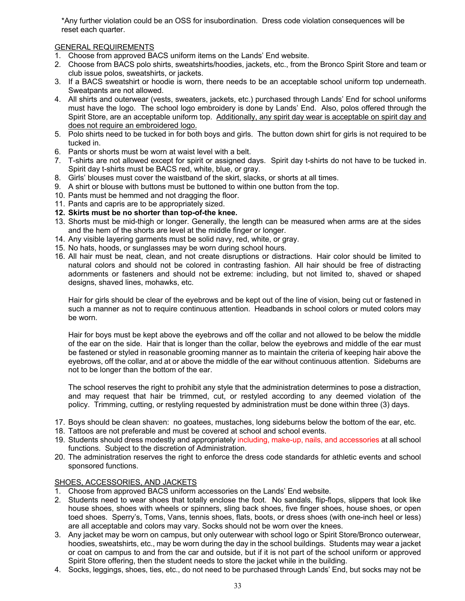\*Any further violation could be an OSS for insubordination. Dress code violation consequences will be reset each quarter.

## GENERAL REQUIREMENTS

- 1. Choose from approved BACS uniform items on the Lands' End website.
- 2. Choose from BACS polo shirts, sweatshirts/hoodies, jackets, etc., from the Bronco Spirit Store and team or club issue polos, sweatshirts, or jackets.
- 3. If a BACS sweatshirt or hoodie is worn, there needs to be an acceptable school uniform top underneath. Sweatpants are not allowed.
- 4. All shirts and outerwear (vests, sweaters, jackets, etc.) purchased through Lands' End for school uniforms must have the logo. The school logo embroidery is done by Lands' End. Also, polos offered through the Spirit Store, are an acceptable uniform top. Additionally, any spirit day wear is acceptable on spirit day and does not require an embroidered logo.
- 5. Polo shirts need to be tucked in for both boys and girls. The button down shirt for girls is not required to be tucked in.
- 6. Pants or shorts must be worn at waist level with a belt.
- 7. T-shirts are not allowed except for spirit or assigned days. Spirit day t-shirts do not have to be tucked in. Spirit day t-shirts must be BACS red, white, blue, or gray.
- 8. Girls' blouses must cover the waistband of the skirt, slacks, or shorts at all times.
- 9. A shirt or blouse with buttons must be buttoned to within one button from the top.
- 10. Pants must be hemmed and not dragging the floor.
- 11. Pants and capris are to be appropriately sized.
- **12. Skirts must be no shorter than top-of-the knee.**
- 13. Shorts must be mid-thigh or longer. Generally, the length can be measured when arms are at the sides and the hem of the shorts are level at the middle finger or longer.
- 14. Any visible layering garments must be solid navy, red, white, or gray.
- 15. No hats, hoods, or sunglasses may be worn during school hours.
- 16. All hair must be neat, clean, and not create disruptions or distractions. Hair color should be limited to natural colors and should not be colored in contrasting fashion. All hair should be free of distracting adornments or fasteners and should not be extreme: including, but not limited to, shaved or shaped designs, shaved lines, mohawks, etc.

Hair for girls should be clear of the eyebrows and be kept out of the line of vision, being cut or fastened in such a manner as not to require continuous attention. Headbands in school colors or muted colors may be worn.

Hair for boys must be kept above the eyebrows and off the collar and not allowed to be below the middle of the ear on the side. Hair that is longer than the collar, below the eyebrows and middle of the ear must be fastened or styled in reasonable grooming manner as to maintain the criteria of keeping hair above the eyebrows, off the collar, and at or above the middle of the ear without continuous attention. Sideburns are not to be longer than the bottom of the ear.

The school reserves the right to prohibit any style that the administration determines to pose a distraction, and may request that hair be trimmed, cut, or restyled according to any deemed violation of the policy. Trimming, cutting, or restyling requested by administration must be done within three (3) days.

- 17. Boys should be clean shaven: no goatees, mustaches, long sideburns below the bottom of the ear, etc.
- 18. Tattoos are not preferable and must be covered at school and school events.
- 19. Students should dress modestly and appropriately including, make-up, nails, and accessories at all school functions. Subject to the discretion of Administration.
- 20. The administration reserves the right to enforce the dress code standards for athletic events and school sponsored functions.

#### SHOES, ACCESSORIES, AND JACKETS

- 1. Choose from approved BACS uniform accessories on the Lands' End website.
- 2. Students need to wear shoes that totally enclose the foot. No sandals, flip-flops, slippers that look like house shoes, shoes with wheels or spinners, sling back shoes, five finger shoes, house shoes, or open toed shoes. Sperry's, Toms, Vans, tennis shoes, flats, boots, or dress shoes (with one-inch heel or less) are all acceptable and colors may vary. Socks should not be worn over the knees.
- 3. Any jacket may be worn on campus, but only outerwear with school logo or Spirit Store/Bronco outerwear, hoodies, sweatshirts, etc., may be worn during the day in the school buildings. Students may wear a jacket or coat on campus to and from the car and outside, but if it is not part of the school uniform or approved Spirit Store offering, then the student needs to store the jacket while in the building.
- 4. Socks, leggings, shoes, ties, etc., do not need to be purchased through Lands' End, but socks may not be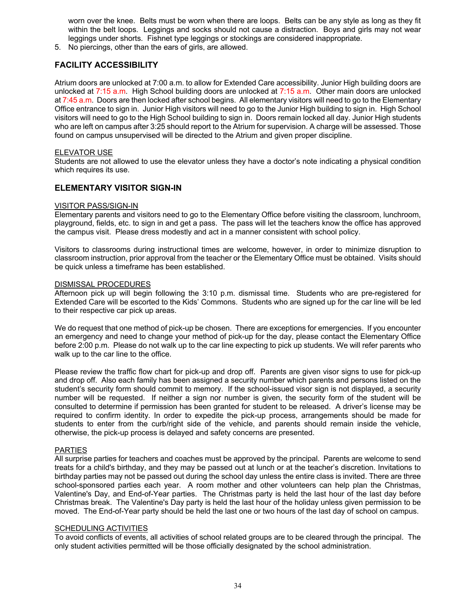worn over the knee. Belts must be worn when there are loops. Belts can be any style as long as they fit within the belt loops. Leggings and socks should not cause a distraction. Boys and girls may not wear leggings under shorts. Fishnet type leggings or stockings are considered inappropriate.

5. No piercings, other than the ears of girls, are allowed.

## **FACILITY ACCESSIBILITY**

Atrium doors are unlocked at 7:00 a.m. to allow for Extended Care accessibility. Junior High building doors are unlocked at 7:15 a.m. High School building doors are unlocked at 7:15 a.m. Other main doors are unlocked at 7:45 a.m. Doors are then locked after school begins. All elementary visitors will need to go to the Elementary Office entrance to sign in. Junior High visitors will need to go to the Junior High building to sign in. High School visitors will need to go to the High School building to sign in. Doors remain locked all day. Junior High students who are left on campus after 3:25 should report to the Atrium for supervision. A charge will be assessed. Those found on campus unsupervised will be directed to the Atrium and given proper discipline.

#### ELEVATOR USE

Students are not allowed to use the elevator unless they have a doctor's note indicating a physical condition which requires its use.

## **ELEMENTARY VISITOR SIGN-IN**

#### VISITOR PASS/SIGN-IN

Elementary parents and visitors need to go to the Elementary Office before visiting the classroom, lunchroom, playground, fields, etc. to sign in and get a pass. The pass will let the teachers know the office has approved the campus visit. Please dress modestly and act in a manner consistent with school policy.

Visitors to classrooms during instructional times are welcome, however, in order to minimize disruption to classroom instruction, prior approval from the teacher or the Elementary Office must be obtained. Visits should be quick unless a timeframe has been established.

#### DISMISSAL PROCEDURES

Afternoon pick up will begin following the 3:10 p.m. dismissal time. Students who are pre-registered for Extended Care will be escorted to the Kids' Commons. Students who are signed up for the car line will be led to their respective car pick up areas.

We do request that one method of pick-up be chosen. There are exceptions for emergencies. If you encounter an emergency and need to change your method of pick-up for the day, please contact the Elementary Office before 2:00 p.m. Please do not walk up to the car line expecting to pick up students. We will refer parents who walk up to the car line to the office.

Please review the traffic flow chart for pick-up and drop off. Parents are given visor signs to use for pick-up and drop off. Also each family has been assigned a security number which parents and persons listed on the student's security form should commit to memory. If the school-issued visor sign is not displayed, a security number will be requested. If neither a sign nor number is given, the security form of the student will be consulted to determine if permission has been granted for student to be released. A driver's license may be required to confirm identity. In order to expedite the pick-up process, arrangements should be made for students to enter from the curb/right side of the vehicle, and parents should remain inside the vehicle, otherwise, the pick-up process is delayed and safety concerns are presented.

#### **PARTIES**

All surprise parties for teachers and coaches must be approved by the principal. Parents are welcome to send treats for a child's birthday, and they may be passed out at lunch or at the teacher's discretion. Invitations to birthday parties may not be passed out during the school day unless the entire class is invited. There are three school-sponsored parties each year. A room mother and other volunteers can help plan the Christmas, Valentine's Day, and End-of-Year parties. The Christmas party is held the last hour of the last day before Christmas break. The Valentine's Day party is held the last hour of the holiday unless given permission to be moved. The End-of-Year party should be held the last one or two hours of the last day of school on campus.

#### SCHEDULING ACTIVITIES

To avoid conflicts of events, all activities of school related groups are to be cleared through the principal. The only student activities permitted will be those officially designated by the school administration.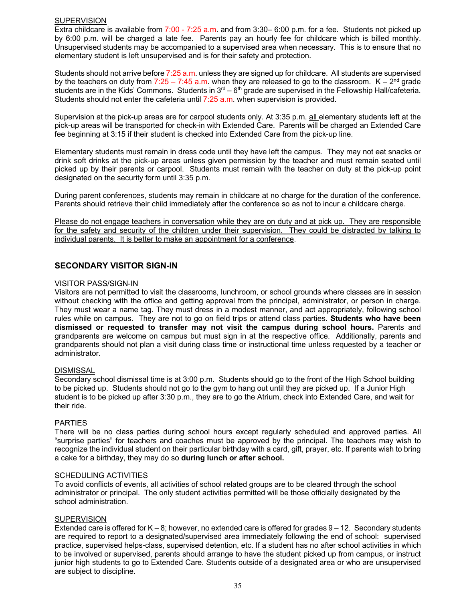#### **SUPERVISION**

Extra childcare is available from 7:00 - 7:25 a.m. and from 3:30– 6:00 p.m. for a fee. Students not picked up by 6:00 p.m. will be charged a late fee. Parents pay an hourly fee for childcare which is billed monthly. Unsupervised students may be accompanied to a supervised area when necessary. This is to ensure that no elementary student is left unsupervised and is for their safety and protection.

Students should not arrive before 7:25 a.m. unless they are signed up for childcare. All students are supervised by the teachers on duty from 7:25 – 7:45 a.m. when they are released to go to the classroom.  $K - 2^{nd}$  grade students are in the Kids' Commons. Students in  $3^{rd} - 6^{th}$  grade are supervised in the Fellowship Hall/cafeteria. Students should not enter the cafeteria until 7:25 a.m. when supervision is provided.

Supervision at the pick-up areas are for carpool students only. At 3:35 p.m. all elementary students left at the pick-up areas will be transported for check-in with Extended Care. Parents will be charged an Extended Care fee beginning at 3:15 if their student is checked into Extended Care from the pick-up line.

Elementary students must remain in dress code until they have left the campus. They may not eat snacks or drink soft drinks at the pick-up areas unless given permission by the teacher and must remain seated until picked up by their parents or carpool. Students must remain with the teacher on duty at the pick-up point designated on the security form until 3:35 p.m.

During parent conferences, students may remain in childcare at no charge for the duration of the conference. Parents should retrieve their child immediately after the conference so as not to incur a childcare charge.

Please do not engage teachers in conversation while they are on duty and at pick up. They are responsible for the safety and security of the children under their supervision. They could be distracted by talking to individual parents. It is better to make an appointment for a conference.

## **SECONDARY VISITOR SIGN-IN**

#### VISITOR PASS/SIGN-IN

Visitors are not permitted to visit the classrooms, lunchroom, or school grounds where classes are in session without checking with the office and getting approval from the principal, administrator, or person in charge. They must wear a name tag. They must dress in a modest manner, and act appropriately, following school rules while on campus. They are not to go on field trips or attend class parties. **Students who have been dismissed or requested to transfer may not visit the campus during school hours.** Parents and grandparents are welcome on campus but must sign in at the respective office. Additionally, parents and grandparents should not plan a visit during class time or instructional time unless requested by a teacher or administrator.

#### **DISMISSAL**

Secondary school dismissal time is at 3:00 p.m. Students should go to the front of the High School building to be picked up. Students should not go to the gym to hang out until they are picked up. If a Junior High student is to be picked up after 3:30 p.m., they are to go the Atrium, check into Extended Care, and wait for their ride.

#### PARTIES

There will be no class parties during school hours except regularly scheduled and approved parties. All "surprise parties" for teachers and coaches must be approved by the principal. The teachers may wish to recognize the individual student on their particular birthday with a card, gift, prayer, etc. If parents wish to bring a cake for a birthday, they may do so **during lunch or after school.**

#### **SCHEDULING ACTIVITIES**

To avoid conflicts of events, all activities of school related groups are to be cleared through the school administrator or principal. The only student activities permitted will be those officially designated by the school administration.

## **SUPERVISION**

Extended care is offered for  $K - 8$ ; however, no extended care is offered for grades  $9 - 12$ . Secondary students are required to report to a designated/supervised area immediately following the end of school: supervised practice, supervised helps-class, supervised detention, etc. If a student has no after school activities in which to be involved or supervised, parents should arrange to have the student picked up from campus, or instruct junior high students to go to Extended Care. Students outside of a designated area or who are unsupervised are subject to discipline.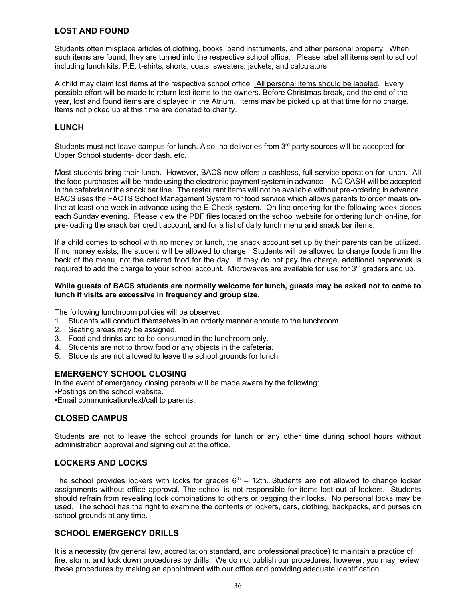## **LOST AND FOUND**

Students often misplace articles of clothing, books, band instruments, and other personal property. When such items are found, they are turned into the respective school office. Please label all items sent to school, including lunch kits, P.E. t-shirts, shorts, coats, sweaters, jackets, and calculators.

A child may claim lost items at the respective school office. All personal items should be labeled. Every possible effort will be made to return lost items to the owners. Before Christmas break, and the end of the year, lost and found items are displayed in the Atrium. Items may be picked up at that time for no charge. Items not picked up at this time are donated to charity.

## **LUNCH**

Students must not leave campus for lunch. Also, no deliveries from 3<sup>rd</sup> party sources will be accepted for Upper School students- door dash, etc.

Most students bring their lunch. However, BACS now offers a cashless, full service operation for lunch. All the food purchases will be made using the electronic payment system in advance – NO CASH will be accepted in the cafeteria or the snack bar line. The restaurant items will not be available without pre-ordering in advance. BACS uses the FACTS School Management System for food service which allows parents to order meals online at least one week in advance using the E-Check system. On-line ordering for the following week closes each Sunday evening. Please view the PDF files located on the school website for ordering lunch on-line, for pre-loading the snack bar credit account, and for a list of daily lunch menu and snack bar items.

If a child comes to school with no money or lunch, the snack account set up by their parents can be utilized. If no money exists, the student will be allowed to charge. Students will be allowed to charge foods from the back of the menu, not the catered food for the day. If they do not pay the charge, additional paperwork is required to add the charge to your school account. Microwaves are available for use for 3<sup>rd</sup> graders and up.

#### **While guests of BACS students are normally welcome for lunch, guests may be asked not to come to lunch if visits are excessive in frequency and group size.**

The following lunchroom policies will be observed:

- 1. Students will conduct themselves in an orderly manner enroute to the lunchroom.
- 2. Seating areas may be assigned.
- 3. Food and drinks are to be consumed in the lunchroom only.
- 4. Students are not to throw food or any objects in the cafeteria.
- 5. Students are not allowed to leave the school grounds for lunch.

## **EMERGENCY SCHOOL CLOSING**

In the event of emergency closing parents will be made aware by the following: •Postings on the school website. •Email communication/text/call to parents.

## **CLOSED CAMPUS**

Students are not to leave the school grounds for lunch or any other time during school hours without administration approval and signing out at the office.

## **LOCKERS AND LOCKS**

The school provides lockers with locks for grades  $6<sup>th</sup> - 12th$ . Students are not allowed to change locker assignments without office approval. The school is not responsible for items lost out of lockers. Students should refrain from revealing lock combinations to others or pegging their locks. No personal locks may be used. The school has the right to examine the contents of lockers, cars, clothing, backpacks, and purses on school grounds at any time.

## **SCHOOL EMERGENCY DRILLS**

It is a necessity (by general law, accreditation standard, and professional practice) to maintain a practice of fire, storm, and lock down procedures by drills. We do not publish our procedures; however, you may review these procedures by making an appointment with our office and providing adequate identification.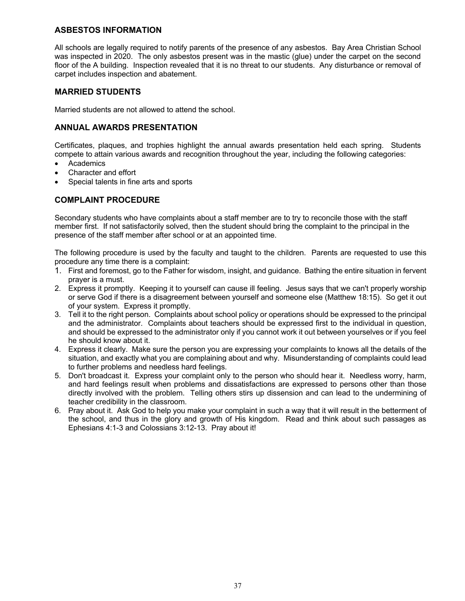## **ASBESTOS INFORMATION**

All schools are legally required to notify parents of the presence of any asbestos. Bay Area Christian School was inspected in 2020. The only asbestos present was in the mastic (glue) under the carpet on the second floor of the A building. Inspection revealed that it is no threat to our students. Any disturbance or removal of carpet includes inspection and abatement.

## **MARRIED STUDENTS**

Married students are not allowed to attend the school.

## **ANNUAL AWARDS PRESENTATION**

Certificates, plaques, and trophies highlight the annual awards presentation held each spring. Students compete to attain various awards and recognition throughout the year, including the following categories:

- Academics
- Character and effort
- Special talents in fine arts and sports

## **COMPLAINT PROCEDURE**

Secondary students who have complaints about a staff member are to try to reconcile those with the staff member first. If not satisfactorily solved, then the student should bring the complaint to the principal in the presence of the staff member after school or at an appointed time.

The following procedure is used by the faculty and taught to the children. Parents are requested to use this procedure any time there is a complaint:

- 1. First and foremost, go to the Father for wisdom, insight, and guidance. Bathing the entire situation in fervent prayer is a must.
- 2. Express it promptly. Keeping it to yourself can cause ill feeling. Jesus says that we can't properly worship or serve God if there is a disagreement between yourself and someone else (Matthew 18:15). So get it out of your system. Express it promptly.
- 3. Tell it to the right person. Complaints about school policy or operations should be expressed to the principal and the administrator. Complaints about teachers should be expressed first to the individual in question, and should be expressed to the administrator only if you cannot work it out between yourselves or if you feel he should know about it.
- 4. Express it clearly. Make sure the person you are expressing your complaints to knows all the details of the situation, and exactly what you are complaining about and why. Misunderstanding of complaints could lead to further problems and needless hard feelings.
- 5. Don't broadcast it. Express your complaint only to the person who should hear it. Needless worry, harm, and hard feelings result when problems and dissatisfactions are expressed to persons other than those directly involved with the problem. Telling others stirs up dissension and can lead to the undermining of teacher credibility in the classroom.
- 6. Pray about it. Ask God to help you make your complaint in such a way that it will result in the betterment of the school, and thus in the glory and growth of His kingdom. Read and think about such passages as Ephesians 4:1-3 and Colossians 3:12-13. Pray about it!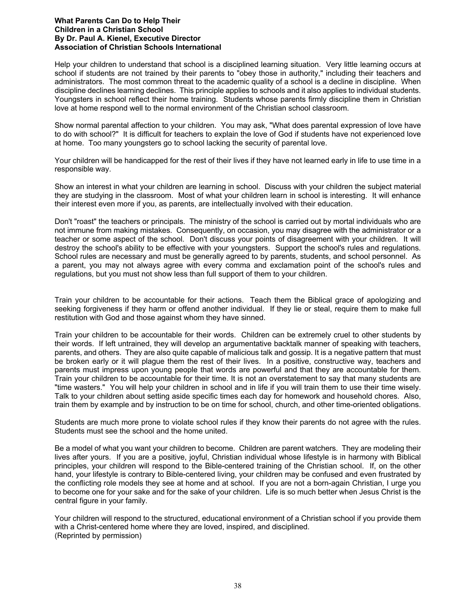#### **What Parents Can Do to Help Their Children in a Christian School By Dr. Paul A. Kienel, Executive Director Association of Christian Schools International**

Help your children to understand that school is a disciplined learning situation. Very little learning occurs at school if students are not trained by their parents to "obey those in authority," including their teachers and administrators. The most common threat to the academic quality of a school is a decline in discipline. When discipline declines learning declines. This principle applies to schools and it also applies to individual students. Youngsters in school reflect their home training. Students whose parents firmly discipline them in Christian love at home respond well to the normal environment of the Christian school classroom.

Show normal parental affection to your children. You may ask, "What does parental expression of love have to do with school?" It is difficult for teachers to explain the love of God if students have not experienced love at home. Too many youngsters go to school lacking the security of parental love.

Your children will be handicapped for the rest of their lives if they have not learned early in life to use time in a responsible way.

Show an interest in what your children are learning in school. Discuss with your children the subject material they are studying in the classroom. Most of what your children learn in school is interesting. It will enhance their interest even more if you, as parents, are intellectually involved with their education.

Don't "roast" the teachers or principals. The ministry of the school is carried out by mortal individuals who are not immune from making mistakes. Consequently, on occasion, you may disagree with the administrator or a teacher or some aspect of the school. Don't discuss your points of disagreement with your children. It will destroy the school's ability to be effective with your youngsters. Support the school's rules and regulations. School rules are necessary and must be generally agreed to by parents, students, and school personnel. As a parent, you may not always agree with every comma and exclamation point of the school's rules and regulations, but you must not show less than full support of them to your children.

Train your children to be accountable for their actions. Teach them the Biblical grace of apologizing and seeking forgiveness if they harm or offend another individual. If they lie or steal, require them to make full restitution with God and those against whom they have sinned.

Train your children to be accountable for their words. Children can be extremely cruel to other students by their words. If left untrained, they will develop an argumentative backtalk manner of speaking with teachers, parents, and others. They are also quite capable of malicious talk and gossip. It is a negative pattern that must be broken early or it will plague them the rest of their lives. In a positive, constructive way, teachers and parents must impress upon young people that words are powerful and that they are accountable for them. Train your children to be accountable for their time. It is not an overstatement to say that many students are "time wasters." You will help your children in school and in life if you will train them to use their time wisely. Talk to your children about setting aside specific times each day for homework and household chores. Also, train them by example and by instruction to be on time for school, church, and other time-oriented obligations.

Students are much more prone to violate school rules if they know their parents do not agree with the rules. Students must see the school and the home united.

Be a model of what you want your children to become. Children are parent watchers. They are modeling their lives after yours. If you are a positive, joyful, Christian individual whose lifestyle is in harmony with Biblical principles, your children will respond to the Bible-centered training of the Christian school. If, on the other hand, your lifestyle is contrary to Bible-centered living, your children may be confused and even frustrated by the conflicting role models they see at home and at school. If you are not a born-again Christian, I urge you to become one for your sake and for the sake of your children. Life is so much better when Jesus Christ is the central figure in your family.

Your children will respond to the structured, educational environment of a Christian school if you provide them with a Christ-centered home where they are loved, inspired, and disciplined. (Reprinted by permission)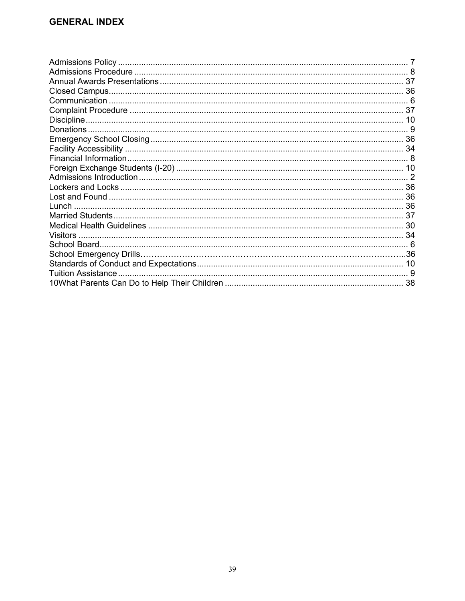| 38 |
|----|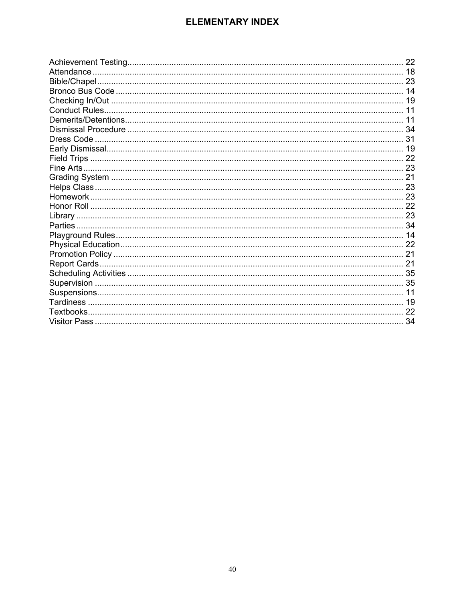## **ELEMENTARY INDEX**

| 22 |
|----|
|    |
|    |
|    |
|    |
|    |
|    |
|    |
|    |
|    |
|    |
|    |
|    |
|    |
|    |
|    |
|    |
|    |
|    |
|    |
|    |
|    |
|    |
|    |
|    |
|    |
|    |
|    |